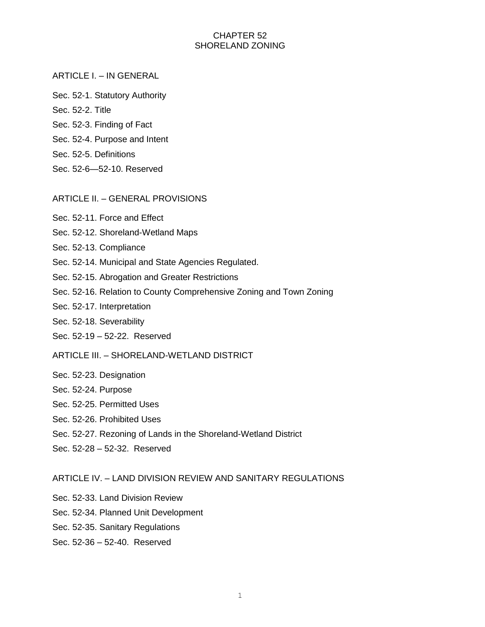## CHAPTER 52 SHORELAND ZONING

#### ARTICLE I. – IN GENERAL

- Sec. 52-1. Statutory Authority
- Sec. 52-2. Title
- Sec. 52-3. Finding of Fact
- Sec. 52-4. Purpose and Intent
- Sec. 52-5. Definitions
- Sec. 52-6—52-10. Reserved

#### ARTICLE II. – GENERAL PROVISIONS

- Sec. 52-11. Force and Effect
- Sec. 52-12. Shoreland-Wetland Maps
- Sec. 52-13. Compliance
- Sec. 52-14. Municipal and State Agencies Regulated.
- Sec. 52-15. Abrogation and Greater Restrictions
- Sec. 52-16. Relation to County Comprehensive Zoning and Town Zoning
- Sec. 52-17. Interpretation
- Sec. 52-18. Severability
- Sec. 52-19 52-22. Reserved
- ARTICLE III. SHORELAND-WETLAND DISTRICT
- Sec. 52-23. Designation
- Sec. 52-24. Purpose
- Sec. 52-25. Permitted Uses
- Sec. 52-26. Prohibited Uses
- Sec. 52-27. Rezoning of Lands in the Shoreland-Wetland District
- Sec. 52-28 52-32. Reserved

#### ARTICLE IV. – LAND DIVISION REVIEW AND SANITARY REGULATIONS

- Sec. 52-33. Land Division Review
- Sec. 52-34. Planned Unit Development
- Sec. 52-35. Sanitary Regulations
- Sec. 52-36 52-40. Reserved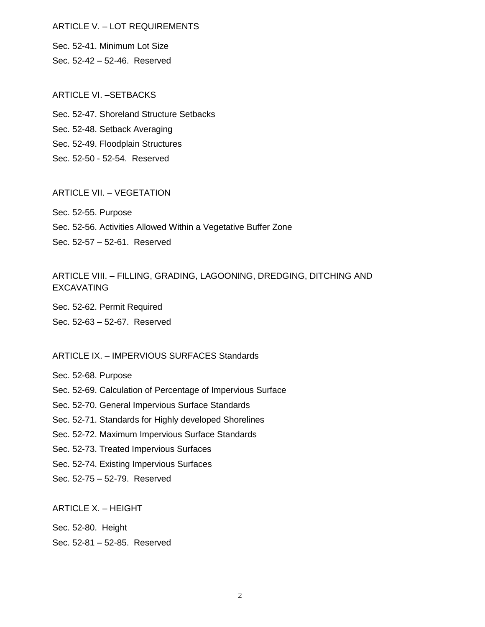### ARTICLE V. – LOT REQUIREMENTS

Sec. 52-41. Minimum Lot Size Sec. 52-42 – 52-46. Reserved

#### ARTICLE VI. –SETBACKS

Sec. 52-47. Shoreland Structure Setbacks Sec. 52-48. Setback Averaging Sec. 52-49. Floodplain Structures Sec. 52-50 - 52-54. Reserved

## ARTICLE VII. – VEGETATION

Sec. 52-55. Purpose Sec. 52-56. Activities Allowed Within a Vegetative Buffer Zone Sec. 52-57 – 52-61. Reserved

# ARTICLE VIII. – FILLING, GRADING, LAGOONING, DREDGING, DITCHING AND EXCAVATING

Sec. 52-62. Permit Required Sec. 52-63 – 52-67. Reserved

### ARTICLE IX. – IMPERVIOUS SURFACES Standards

Sec. 52-68. Purpose

Sec. 52-69. Calculation of Percentage of Impervious Surface

Sec. 52-70. General Impervious Surface Standards

Sec. 52-71. Standards for Highly developed Shorelines

Sec. 52-72. Maximum Impervious Surface Standards

Sec. 52-73. Treated Impervious Surfaces

Sec. 52-74. Existing Impervious Surfaces

Sec. 52-75 – 52-79. Reserved

ARTICLE X. – HEIGHT

Sec. 52-80. Height

Sec. 52-81 – 52-85. Reserved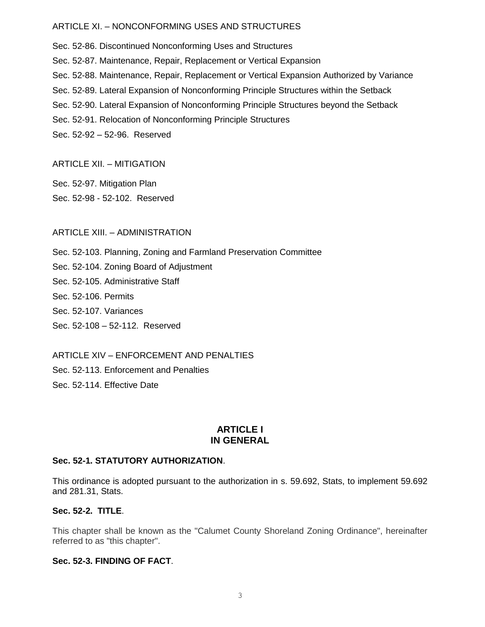### ARTICLE XI. – NONCONFORMING USES AND STRUCTURES

Sec. 52-86. Discontinued Nonconforming Uses and Structures Sec. 52-87. Maintenance, Repair, Replacement or Vertical Expansion Sec. 52-88. Maintenance, Repair, Replacement or Vertical Expansion Authorized by Variance Sec. 52-89. Lateral Expansion of Nonconforming Principle Structures within the Setback Sec. 52-90. Lateral Expansion of Nonconforming Principle Structures beyond the Setback Sec. 52-91. Relocation of Nonconforming Principle Structures Sec. 52-92 – 52-96. Reserved

### ARTICLE XII. – MITIGATION

Sec. 52-97. Mitigation Plan Sec. 52-98 - 52-102. Reserved

#### ARTICLE XIII. – ADMINISTRATION

Sec. 52-103. Planning, Zoning and Farmland Preservation Committee

Sec. 52-104. Zoning Board of Adjustment

Sec. 52-105. Administrative Staff

Sec. 52-106. Permits

Sec. 52-107. Variances

Sec. 52-108 – 52-112. Reserved

ARTICLE XIV – ENFORCEMENT AND PENALTIES

Sec. 52-113. Enforcement and Penalties

Sec. 52-114. Effective Date

### **ARTICLE I IN GENERAL**

#### **Sec. 52-1. STATUTORY AUTHORIZATION**.

This ordinance is adopted pursuant to the authorization in s. 59.692, Stats, to implement 59.692 and 281.31, Stats.

### **Sec. 52-2. TITLE**.

This chapter shall be known as the "Calumet County Shoreland Zoning Ordinance", hereinafter referred to as "this chapter".

#### **Sec. 52-3. FINDING OF FACT**.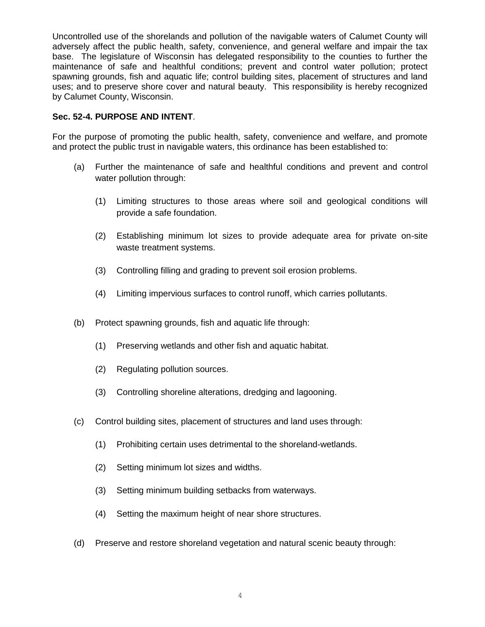Uncontrolled use of the shorelands and pollution of the navigable waters of Calumet County will adversely affect the public health, safety, convenience, and general welfare and impair the tax base. The legislature of Wisconsin has delegated responsibility to the counties to further the maintenance of safe and healthful conditions; prevent and control water pollution; protect spawning grounds, fish and aquatic life; control building sites, placement of structures and land uses; and to preserve shore cover and natural beauty. This responsibility is hereby recognized by Calumet County, Wisconsin.

### **Sec. 52-4. PURPOSE AND INTENT**.

For the purpose of promoting the public health, safety, convenience and welfare, and promote and protect the public trust in navigable waters, this ordinance has been established to:

- (a) Further the maintenance of safe and healthful conditions and prevent and control water pollution through:
	- (1) Limiting structures to those areas where soil and geological conditions will provide a safe foundation.
	- (2) Establishing minimum lot sizes to provide adequate area for private on-site waste treatment systems.
	- (3) Controlling filling and grading to prevent soil erosion problems.
	- (4) Limiting impervious surfaces to control runoff, which carries pollutants.
- (b) Protect spawning grounds, fish and aquatic life through:
	- (1) Preserving wetlands and other fish and aquatic habitat.
	- (2) Regulating pollution sources.
	- (3) Controlling shoreline alterations, dredging and lagooning.
- (c) Control building sites, placement of structures and land uses through:
	- (1) Prohibiting certain uses detrimental to the shoreland-wetlands.
	- (2) Setting minimum lot sizes and widths.
	- (3) Setting minimum building setbacks from waterways.
	- (4) Setting the maximum height of near shore structures.
- (d) Preserve and restore shoreland vegetation and natural scenic beauty through: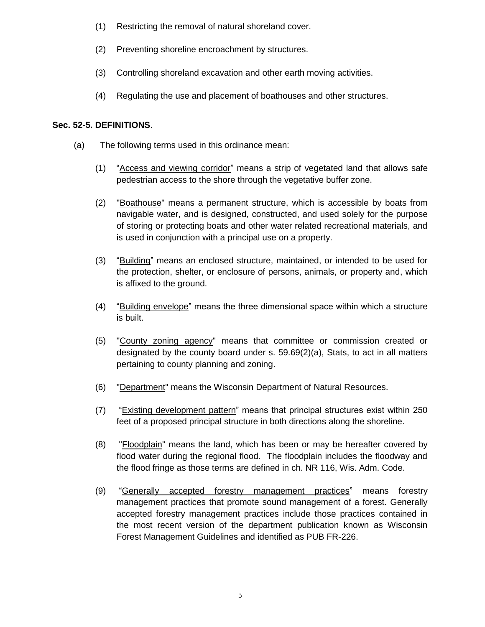- (1) Restricting the removal of natural shoreland cover.
- (2) Preventing shoreline encroachment by structures.
- (3) Controlling shoreland excavation and other earth moving activities.
- (4) Regulating the use and placement of boathouses and other structures.

### **Sec. 52-5. DEFINITIONS**.

- (a) The following terms used in this ordinance mean:
	- (1) "Access and viewing corridor" means a strip of vegetated land that allows safe pedestrian access to the shore through the vegetative buffer zone.
	- (2) "Boathouse" means a permanent structure, which is accessible by boats from navigable water, and is designed, constructed, and used solely for the purpose of storing or protecting boats and other water related recreational materials, and is used in conjunction with a principal use on a property.
	- (3) "Building" means an enclosed structure, maintained, or intended to be used for the protection, shelter, or enclosure of persons, animals, or property and, which is affixed to the ground.
	- (4) "Building envelope" means the three dimensional space within which a structure is built.
	- (5) "County zoning agency" means that committee or commission created or designated by the county board under s. 59.69(2)(a), Stats, to act in all matters pertaining to county planning and zoning.
	- (6) "Department" means the Wisconsin Department of Natural Resources.
	- (7) "Existing development pattern" means that principal structures exist within 250 feet of a proposed principal structure in both directions along the shoreline.
	- (8) "Floodplain" means the land, which has been or may be hereafter covered by flood water during the regional flood. The floodplain includes the floodway and the flood fringe as those terms are defined in ch. NR 116, Wis. Adm. Code.
	- (9) "Generally accepted forestry management practices" means forestry management practices that promote sound management of a forest. Generally accepted forestry management practices include those practices contained in the most recent version of the department publication known as Wisconsin Forest Management Guidelines and identified as PUB FR-226.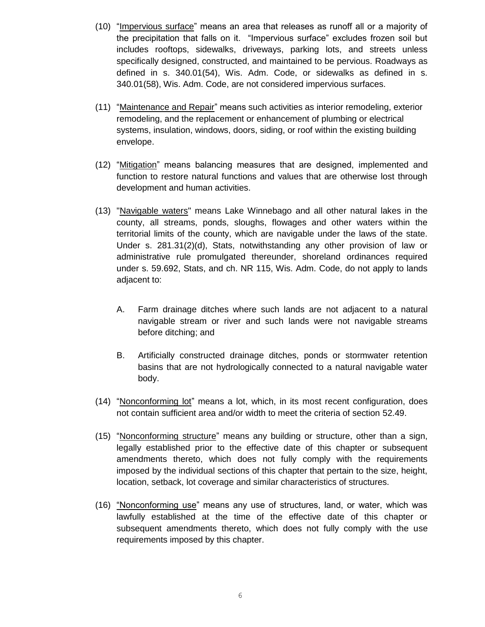- (10) "Impervious surface" means an area that releases as runoff all or a majority of the precipitation that falls on it. "Impervious surface" excludes frozen soil but includes rooftops, sidewalks, driveways, parking lots, and streets unless specifically designed, constructed, and maintained to be pervious. Roadways as defined in s. 340.01(54), Wis. Adm. Code, or sidewalks as defined in s. 340.01(58), Wis. Adm. Code, are not considered impervious surfaces.
- (11) "Maintenance and Repair" means such activities as interior remodeling, exterior remodeling, and the replacement or enhancement of plumbing or electrical systems, insulation, windows, doors, siding, or roof within the existing building envelope.
- (12) "Mitigation" means balancing measures that are designed, implemented and function to restore natural functions and values that are otherwise lost through development and human activities.
- (13) "Navigable waters" means Lake Winnebago and all other natural lakes in the county, all streams, ponds, sloughs, flowages and other waters within the territorial limits of the county, which are navigable under the laws of the state. Under s. 281.31(2)(d), Stats, notwithstanding any other provision of law or administrative rule promulgated thereunder, shoreland ordinances required under s. 59.692, Stats, and ch. NR 115, Wis. Adm. Code, do not apply to lands adjacent to:
	- A. Farm drainage ditches where such lands are not adjacent to a natural navigable stream or river and such lands were not navigable streams before ditching; and
	- B. Artificially constructed drainage ditches, ponds or stormwater retention basins that are not hydrologically connected to a natural navigable water body.
- (14) "Nonconforming lot" means a lot, which, in its most recent configuration, does not contain sufficient area and/or width to meet the criteria of section 52.49.
- (15) "Nonconforming structure" means any building or structure, other than a sign, legally established prior to the effective date of this chapter or subsequent amendments thereto, which does not fully comply with the requirements imposed by the individual sections of this chapter that pertain to the size, height, location, setback, lot coverage and similar characteristics of structures.
- (16) "Nonconforming use" means any use of structures, land, or water, which was lawfully established at the time of the effective date of this chapter or subsequent amendments thereto, which does not fully comply with the use requirements imposed by this chapter.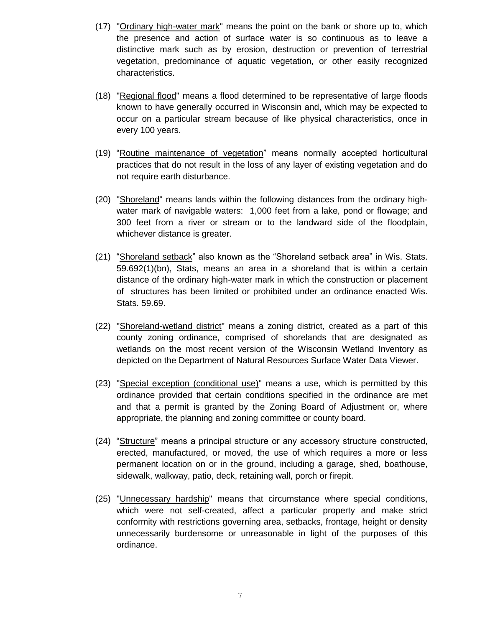- (17) "Ordinary high-water mark" means the point on the bank or shore up to, which the presence and action of surface water is so continuous as to leave a distinctive mark such as by erosion, destruction or prevention of terrestrial vegetation, predominance of aquatic vegetation, or other easily recognized characteristics.
- (18) "Regional flood" means a flood determined to be representative of large floods known to have generally occurred in Wisconsin and, which may be expected to occur on a particular stream because of like physical characteristics, once in every 100 years.
- (19) "Routine maintenance of vegetation" means normally accepted horticultural practices that do not result in the loss of any layer of existing vegetation and do not require earth disturbance.
- (20) "Shoreland" means lands within the following distances from the ordinary highwater mark of navigable waters: 1,000 feet from a lake, pond or flowage; and 300 feet from a river or stream or to the landward side of the floodplain, whichever distance is greater.
- (21) "Shoreland setback" also known as the "Shoreland setback area" in Wis. Stats. 59.692(1)(bn), Stats, means an area in a shoreland that is within a certain distance of the ordinary high-water mark in which the construction or placement of structures has been limited or prohibited under an ordinance enacted Wis. Stats. 59.69.
- (22) "Shoreland-wetland district" means a zoning district, created as a part of this county zoning ordinance, comprised of shorelands that are designated as wetlands on the most recent version of the Wisconsin Wetland Inventory as depicted on the Department of Natural Resources Surface Water Data Viewer.
- (23) "Special exception (conditional use)" means a use, which is permitted by this ordinance provided that certain conditions specified in the ordinance are met and that a permit is granted by the Zoning Board of Adjustment or, where appropriate, the planning and zoning committee or county board.
- (24) "Structure" means a principal structure or any accessory structure constructed, erected, manufactured, or moved, the use of which requires a more or less permanent location on or in the ground, including a garage, shed, boathouse, sidewalk, walkway, patio, deck, retaining wall, porch or firepit.
- (25) "Unnecessary hardship" means that circumstance where special conditions, which were not self-created, affect a particular property and make strict conformity with restrictions governing area, setbacks, frontage, height or density unnecessarily burdensome or unreasonable in light of the purposes of this ordinance.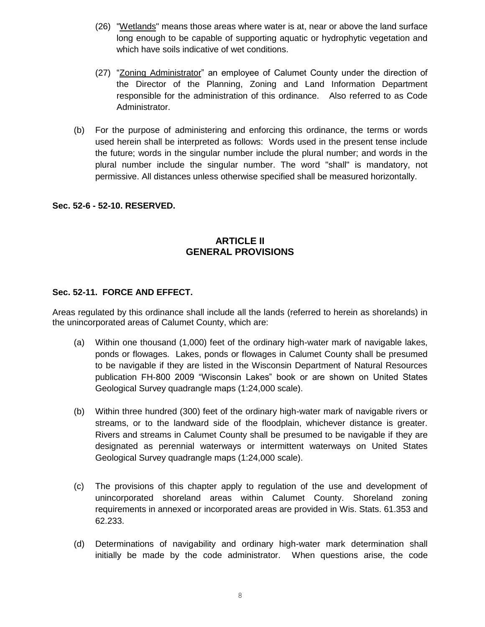- (26) "Wetlands" means those areas where water is at, near or above the land surface long enough to be capable of supporting aquatic or hydrophytic vegetation and which have soils indicative of wet conditions.
- (27) "Zoning Administrator" an employee of Calumet County under the direction of the Director of the Planning, Zoning and Land Information Department responsible for the administration of this ordinance. Also referred to as Code Administrator.
- (b) For the purpose of administering and enforcing this ordinance, the terms or words used herein shall be interpreted as follows: Words used in the present tense include the future; words in the singular number include the plural number; and words in the plural number include the singular number. The word "shall" is mandatory, not permissive. All distances unless otherwise specified shall be measured horizontally.

### **Sec. 52-6 - 52-10. RESERVED.**

# **ARTICLE II GENERAL PROVISIONS**

### **Sec. 52-11. FORCE AND EFFECT.**

Areas regulated by this ordinance shall include all the lands (referred to herein as shorelands) in the unincorporated areas of Calumet County, which are:

- (a) Within one thousand (1,000) feet of the ordinary high-water mark of navigable lakes, ponds or flowages. Lakes, ponds or flowages in Calumet County shall be presumed to be navigable if they are listed in the Wisconsin Department of Natural Resources publication FH-800 2009 "Wisconsin Lakes" book or are shown on United States Geological Survey quadrangle maps (1:24,000 scale).
- (b) Within three hundred (300) feet of the ordinary high-water mark of navigable rivers or streams, or to the landward side of the floodplain, whichever distance is greater. Rivers and streams in Calumet County shall be presumed to be navigable if they are designated as perennial waterways or intermittent waterways on United States Geological Survey quadrangle maps (1:24,000 scale).
- (c) The provisions of this chapter apply to regulation of the use and development of unincorporated shoreland areas within Calumet County. Shoreland zoning requirements in annexed or incorporated areas are provided in Wis. Stats. 61.353 and 62.233.
- (d) Determinations of navigability and ordinary high-water mark determination shall initially be made by the code administrator. When questions arise, the code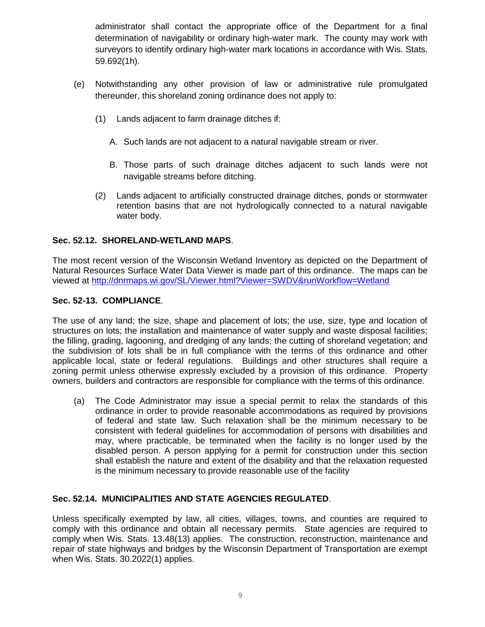administrator shall contact the appropriate office of the Department for a final determination of navigability or ordinary high-water mark. The county may work with surveyors to identify ordinary high-water mark locations in accordance with Wis. Stats. 59.692(1h).

- (e) Notwithstanding any other provision of law or administrative rule promulgated thereunder, this shoreland zoning ordinance does not apply to:
	- (1) Lands adjacent to farm drainage ditches if:
		- A. Such lands are not adjacent to a natural navigable stream or river.
		- B. Those parts of such drainage ditches adjacent to such lands were not navigable streams before ditching.
	- (2) Lands adjacent to artificially constructed drainage ditches, ponds or stormwater retention basins that are not hydrologically connected to a natural navigable water body.

### **Sec. 52.12. SHORELAND-WETLAND MAPS**.

The most recent version of the Wisconsin Wetland Inventory as depicted on the Department of Natural Resources Surface Water Data Viewer is made part of this ordinance. The maps can be viewed at<http://dnrmaps.wi.gov/SL/Viewer.html?Viewer=SWDV&runWorkflow=Wetland>

### **Sec. 52-13. COMPLIANCE**.

The use of any land; the size, shape and placement of lots; the use, size, type and location of structures on lots; the installation and maintenance of water supply and waste disposal facilities; the filling, grading, lagooning, and dredging of any lands; the cutting of shoreland vegetation; and the subdivision of lots shall be in full compliance with the terms of this ordinance and other applicable local, state or federal regulations. Buildings and other structures shall require a zoning permit unless otherwise expressly excluded by a provision of this ordinance. Property owners, builders and contractors are responsible for compliance with the terms of this ordinance.

(a) The Code Administrator may issue a special permit to relax the standards of this ordinance in order to provide reasonable accommodations as required by provisions of federal and state law. Such relaxation shall be the minimum necessary to be consistent with federal guidelines for accommodation of persons with disabilities and may, where practicable, be terminated when the facility is no longer used by the disabled person. A person applying for a permit for construction under this section shall establish the nature and extent of the disability and that the relaxation requested is the minimum necessary to provide reasonable use of the facility

### **Sec. 52.14. MUNICIPALITIES AND STATE AGENCIES REGULATED**.

Unless specifically exempted by law, all cities, villages, towns, and counties are required to comply with this ordinance and obtain all necessary permits. State agencies are required to comply when Wis. Stats. 13.48(13) applies. The construction, reconstruction, maintenance and repair of state highways and bridges by the Wisconsin Department of Transportation are exempt when Wis. Stats. 30.2022(1) applies.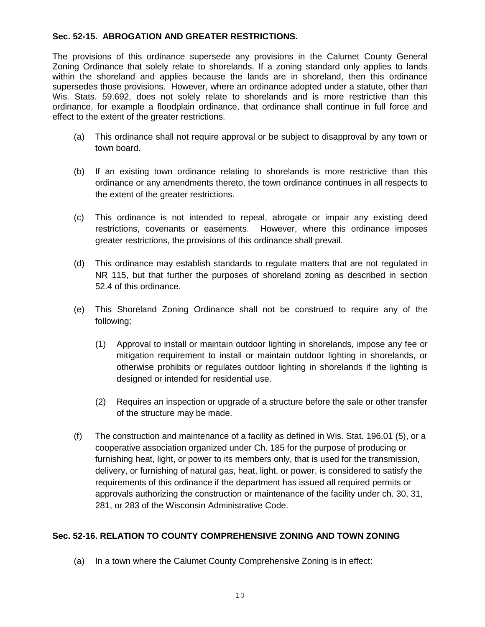# **Sec. 52-15. ABROGATION AND GREATER RESTRICTIONS.**

The provisions of this ordinance supersede any provisions in the Calumet County General Zoning Ordinance that solely relate to shorelands. If a zoning standard only applies to lands within the shoreland and applies because the lands are in shoreland, then this ordinance supersedes those provisions. However, where an ordinance adopted under a statute, other than Wis. Stats. 59.692, does not solely relate to shorelands and is more restrictive than this ordinance, for example a floodplain ordinance, that ordinance shall continue in full force and effect to the extent of the greater restrictions.

- (a) This ordinance shall not require approval or be subject to disapproval by any town or town board.
- (b) If an existing town ordinance relating to shorelands is more restrictive than this ordinance or any amendments thereto, the town ordinance continues in all respects to the extent of the greater restrictions.
- (c) This ordinance is not intended to repeal, abrogate or impair any existing deed restrictions, covenants or easements. However, where this ordinance imposes greater restrictions, the provisions of this ordinance shall prevail.
- (d) This ordinance may establish standards to regulate matters that are not regulated in NR 115, but that further the purposes of shoreland zoning as described in section 52.4 of this ordinance.
- (e) This Shoreland Zoning Ordinance shall not be construed to require any of the following:
	- (1) Approval to install or maintain outdoor lighting in shorelands, impose any fee or mitigation requirement to install or maintain outdoor lighting in shorelands, or otherwise prohibits or regulates outdoor lighting in shorelands if the lighting is designed or intended for residential use.
	- (2) Requires an inspection or upgrade of a structure before the sale or other transfer of the structure may be made.
- (f) The construction and maintenance of a facility as defined in Wis. Stat. 196.01 (5), or a cooperative association organized under Ch. 185 for the purpose of producing or furnishing heat, light, or power to its members only, that is used for the transmission, delivery, or furnishing of natural gas, heat, light, or power, is considered to satisfy the requirements of this ordinance if the department has issued all required permits or approvals authorizing the construction or maintenance of the facility under ch. 30, 31, 281, or 283 of the Wisconsin Administrative Code.

## **Sec. 52-16. RELATION TO COUNTY COMPREHENSIVE ZONING AND TOWN ZONING**

(a) In a town where the Calumet County Comprehensive Zoning is in effect: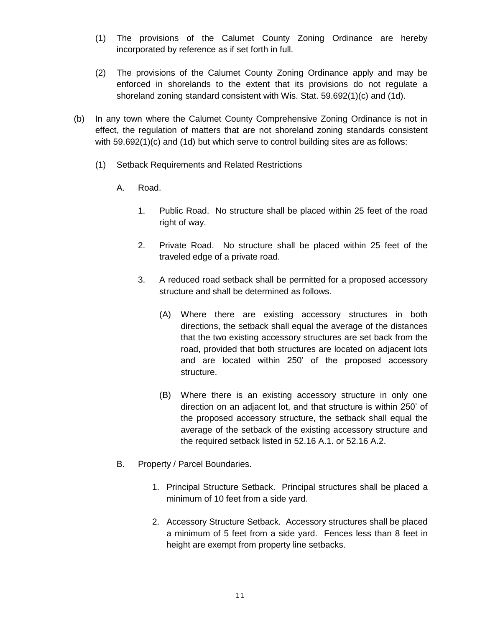- (1) The provisions of the Calumet County Zoning Ordinance are hereby incorporated by reference as if set forth in full.
- (2) The provisions of the Calumet County Zoning Ordinance apply and may be enforced in shorelands to the extent that its provisions do not regulate a shoreland zoning standard consistent with Wis. Stat. 59.692(1)(c) and (1d).
- (b) In any town where the Calumet County Comprehensive Zoning Ordinance is not in effect, the regulation of matters that are not shoreland zoning standards consistent with 59.692(1)(c) and (1d) but which serve to control building sites are as follows:
	- (1) Setback Requirements and Related Restrictions
		- A. Road.
			- 1. Public Road. No structure shall be placed within 25 feet of the road right of way.
			- 2. Private Road. No structure shall be placed within 25 feet of the traveled edge of a private road.
			- 3. A reduced road setback shall be permitted for a proposed accessory structure and shall be determined as follows.
				- (A) Where there are existing accessory structures in both directions, the setback shall equal the average of the distances that the two existing accessory structures are set back from the road, provided that both structures are located on adjacent lots and are located within 250' of the proposed accessory structure.
				- (B) Where there is an existing accessory structure in only one direction on an adjacent lot, and that structure is within 250' of the proposed accessory structure, the setback shall equal the average of the setback of the existing accessory structure and the required setback listed in 52.16 A.1. or 52.16 A.2.
		- B. Property / Parcel Boundaries.
			- 1. Principal Structure Setback. Principal structures shall be placed a minimum of 10 feet from a side yard.
			- 2. Accessory Structure Setback. Accessory structures shall be placed a minimum of 5 feet from a side yard. Fences less than 8 feet in height are exempt from property line setbacks.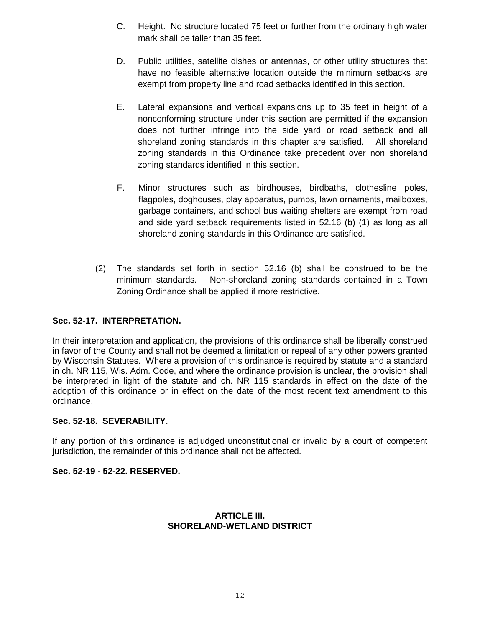- C. Height. No structure located 75 feet or further from the ordinary high water mark shall be taller than 35 feet.
- D. Public utilities, satellite dishes or antennas, or other utility structures that have no feasible alternative location outside the minimum setbacks are exempt from property line and road setbacks identified in this section.
- E. Lateral expansions and vertical expansions up to 35 feet in height of a nonconforming structure under this section are permitted if the expansion does not further infringe into the side yard or road setback and all shoreland zoning standards in this chapter are satisfied. All shoreland zoning standards in this Ordinance take precedent over non shoreland zoning standards identified in this section.
- F. Minor structures such as birdhouses, birdbaths, clothesline poles, flagpoles, doghouses, play apparatus, pumps, lawn ornaments, mailboxes, garbage containers, and school bus waiting shelters are exempt from road and side yard setback requirements listed in 52.16 (b) (1) as long as all shoreland zoning standards in this Ordinance are satisfied.
- (2) The standards set forth in section 52.16 (b) shall be construed to be the minimum standards. Non-shoreland zoning standards contained in a Town Zoning Ordinance shall be applied if more restrictive.

# **Sec. 52-17. INTERPRETATION.**

In their interpretation and application, the provisions of this ordinance shall be liberally construed in favor of the County and shall not be deemed a limitation or repeal of any other powers granted by Wisconsin Statutes. Where a provision of this ordinance is required by statute and a standard in ch. NR 115, Wis. Adm. Code, and where the ordinance provision is unclear, the provision shall be interpreted in light of the statute and ch. NR 115 standards in effect on the date of the adoption of this ordinance or in effect on the date of the most recent text amendment to this ordinance.

### **Sec. 52-18. SEVERABILITY**.

If any portion of this ordinance is adjudged unconstitutional or invalid by a court of competent jurisdiction, the remainder of this ordinance shall not be affected.

### **Sec. 52-19 - 52-22. RESERVED.**

## **ARTICLE III. SHORELAND-WETLAND DISTRICT**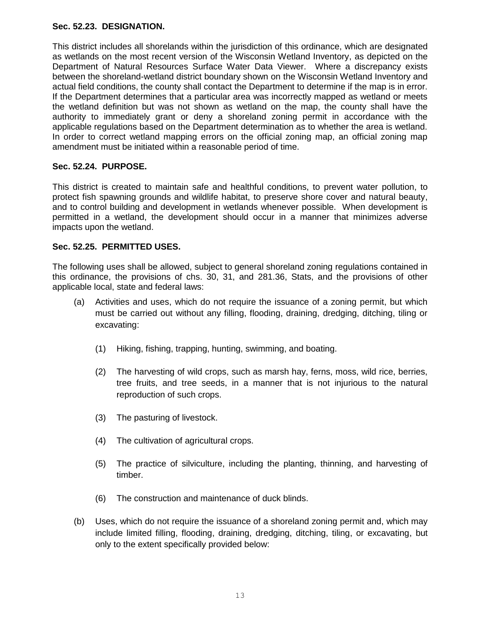### **Sec. 52.23. DESIGNATION.**

This district includes all shorelands within the jurisdiction of this ordinance, which are designated as wetlands on the most recent version of the Wisconsin Wetland Inventory, as depicted on the Department of Natural Resources Surface Water Data Viewer. Where a discrepancy exists between the shoreland-wetland district boundary shown on the Wisconsin Wetland Inventory and actual field conditions, the county shall contact the Department to determine if the map is in error. If the Department determines that a particular area was incorrectly mapped as wetland or meets the wetland definition but was not shown as wetland on the map, the county shall have the authority to immediately grant or deny a shoreland zoning permit in accordance with the applicable regulations based on the Department determination as to whether the area is wetland. In order to correct wetland mapping errors on the official zoning map, an official zoning map amendment must be initiated within a reasonable period of time.

### **Sec. 52.24. PURPOSE.**

This district is created to maintain safe and healthful conditions, to prevent water pollution, to protect fish spawning grounds and wildlife habitat, to preserve shore cover and natural beauty, and to control building and development in wetlands whenever possible. When development is permitted in a wetland, the development should occur in a manner that minimizes adverse impacts upon the wetland.

### **Sec. 52.25. PERMITTED USES.**

The following uses shall be allowed, subject to general shoreland zoning regulations contained in this ordinance, the provisions of chs. 30, 31, and 281.36, Stats, and the provisions of other applicable local, state and federal laws:

- (a) Activities and uses, which do not require the issuance of a zoning permit, but which must be carried out without any filling, flooding, draining, dredging, ditching, tiling or excavating:
	- (1) Hiking, fishing, trapping, hunting, swimming, and boating.
	- (2) The harvesting of wild crops, such as marsh hay, ferns, moss, wild rice, berries, tree fruits, and tree seeds, in a manner that is not injurious to the natural reproduction of such crops.
	- (3) The pasturing of livestock.
	- (4) The cultivation of agricultural crops.
	- (5) The practice of silviculture, including the planting, thinning, and harvesting of timber.
	- (6) The construction and maintenance of duck blinds.
- (b) Uses, which do not require the issuance of a shoreland zoning permit and, which may include limited filling, flooding, draining, dredging, ditching, tiling, or excavating, but only to the extent specifically provided below: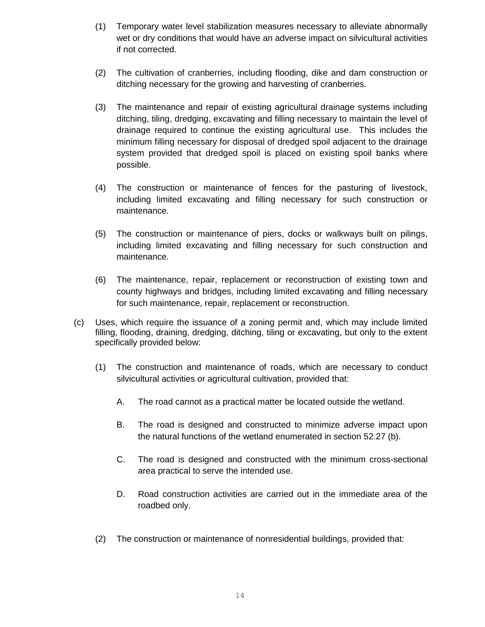- (1) Temporary water level stabilization measures necessary to alleviate abnormally wet or dry conditions that would have an adverse impact on silvicultural activities if not corrected.
- (2) The cultivation of cranberries, including flooding, dike and dam construction or ditching necessary for the growing and harvesting of cranberries.
- (3) The maintenance and repair of existing agricultural drainage systems including ditching, tiling, dredging, excavating and filling necessary to maintain the level of drainage required to continue the existing agricultural use. This includes the minimum filling necessary for disposal of dredged spoil adjacent to the drainage system provided that dredged spoil is placed on existing spoil banks where possible.
- (4) The construction or maintenance of fences for the pasturing of livestock, including limited excavating and filling necessary for such construction or maintenance.
- (5) The construction or maintenance of piers, docks or walkways built on pilings, including limited excavating and filling necessary for such construction and maintenance.
- (6) The maintenance, repair, replacement or reconstruction of existing town and county highways and bridges, including limited excavating and filling necessary for such maintenance, repair, replacement or reconstruction.
- (c) Uses, which require the issuance of a zoning permit and, which may include limited filling, flooding, draining, dredging, ditching, tiling or excavating, but only to the extent specifically provided below:
	- (1) The construction and maintenance of roads, which are necessary to conduct silvicultural activities or agricultural cultivation, provided that:
		- A. The road cannot as a practical matter be located outside the wetland.
		- B. The road is designed and constructed to minimize adverse impact upon the natural functions of the wetland enumerated in section 52.27 (b).
		- C. The road is designed and constructed with the minimum cross-sectional area practical to serve the intended use.
		- D. Road construction activities are carried out in the immediate area of the roadbed only.
	- (2) The construction or maintenance of nonresidential buildings, provided that: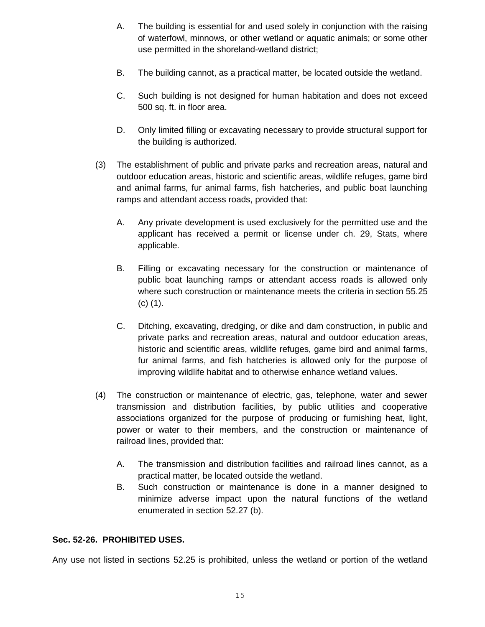- A. The building is essential for and used solely in conjunction with the raising of waterfowl, minnows, or other wetland or aquatic animals; or some other use permitted in the shoreland-wetland district;
- B. The building cannot, as a practical matter, be located outside the wetland.
- C. Such building is not designed for human habitation and does not exceed 500 sq. ft. in floor area.
- D. Only limited filling or excavating necessary to provide structural support for the building is authorized.
- (3) The establishment of public and private parks and recreation areas, natural and outdoor education areas, historic and scientific areas, wildlife refuges, game bird and animal farms, fur animal farms, fish hatcheries, and public boat launching ramps and attendant access roads, provided that:
	- A. Any private development is used exclusively for the permitted use and the applicant has received a permit or license under ch. 29, Stats, where applicable.
	- B. Filling or excavating necessary for the construction or maintenance of public boat launching ramps or attendant access roads is allowed only where such construction or maintenance meets the criteria in section 55.25 (c) (1).
	- C. Ditching, excavating, dredging, or dike and dam construction, in public and private parks and recreation areas, natural and outdoor education areas, historic and scientific areas, wildlife refuges, game bird and animal farms, fur animal farms, and fish hatcheries is allowed only for the purpose of improving wildlife habitat and to otherwise enhance wetland values.
- (4) The construction or maintenance of electric, gas, telephone, water and sewer transmission and distribution facilities, by public utilities and cooperative associations organized for the purpose of producing or furnishing heat, light, power or water to their members, and the construction or maintenance of railroad lines, provided that:
	- A. The transmission and distribution facilities and railroad lines cannot, as a practical matter, be located outside the wetland.
	- B. Such construction or maintenance is done in a manner designed to minimize adverse impact upon the natural functions of the wetland enumerated in section 52.27 (b).

### **Sec. 52-26. PROHIBITED USES.**

Any use not listed in sections 52.25 is prohibited, unless the wetland or portion of the wetland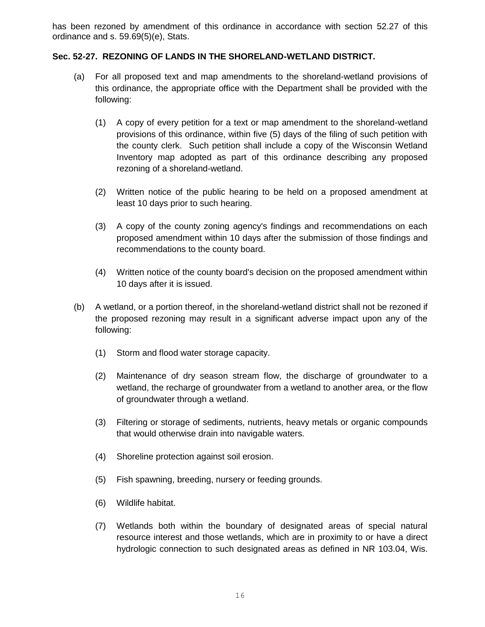has been rezoned by amendment of this ordinance in accordance with section 52.27 of this ordinance and s. 59.69(5)(e), Stats.

## **Sec. 52-27. REZONING OF LANDS IN THE SHORELAND-WETLAND DISTRICT.**

- (a) For all proposed text and map amendments to the shoreland-wetland provisions of this ordinance, the appropriate office with the Department shall be provided with the following:
	- (1) A copy of every petition for a text or map amendment to the shoreland-wetland provisions of this ordinance, within five (5) days of the filing of such petition with the county clerk. Such petition shall include a copy of the Wisconsin Wetland Inventory map adopted as part of this ordinance describing any proposed rezoning of a shoreland-wetland.
	- (2) Written notice of the public hearing to be held on a proposed amendment at least 10 days prior to such hearing.
	- (3) A copy of the county zoning agency's findings and recommendations on each proposed amendment within 10 days after the submission of those findings and recommendations to the county board.
	- (4) Written notice of the county board's decision on the proposed amendment within 10 days after it is issued.
- (b) A wetland, or a portion thereof, in the shoreland-wetland district shall not be rezoned if the proposed rezoning may result in a significant adverse impact upon any of the following:
	- (1) Storm and flood water storage capacity.
	- (2) Maintenance of dry season stream flow, the discharge of groundwater to a wetland, the recharge of groundwater from a wetland to another area, or the flow of groundwater through a wetland.
	- (3) Filtering or storage of sediments, nutrients, heavy metals or organic compounds that would otherwise drain into navigable waters.
	- (4) Shoreline protection against soil erosion.
	- (5) Fish spawning, breeding, nursery or feeding grounds.
	- (6) Wildlife habitat.
	- (7) Wetlands both within the boundary of designated areas of special natural resource interest and those wetlands, which are in proximity to or have a direct hydrologic connection to such designated areas as defined in NR 103.04, Wis.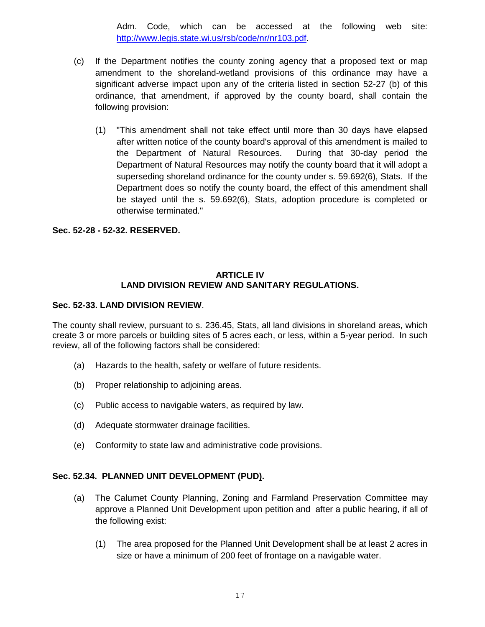Adm. Code, which can be accessed at the following web site: [http://www.legis.state.wi.us/rsb/code/nr/nr103.pdf.](http://www.legis.state.wi.us/rsb/code/nr/nr103.pdf)

- (c) If the Department notifies the county zoning agency that a proposed text or map amendment to the shoreland-wetland provisions of this ordinance may have a significant adverse impact upon any of the criteria listed in section 52-27 (b) of this ordinance, that amendment, if approved by the county board, shall contain the following provision:
	- (1) "This amendment shall not take effect until more than 30 days have elapsed after written notice of the county board's approval of this amendment is mailed to the Department of Natural Resources. During that 30-day period the Department of Natural Resources may notify the county board that it will adopt a superseding shoreland ordinance for the county under s. 59.692(6), Stats. If the Department does so notify the county board, the effect of this amendment shall be stayed until the s. 59.692(6), Stats, adoption procedure is completed or otherwise terminated."

### **Sec. 52-28 - 52-32. RESERVED.**

### **ARTICLE IV LAND DIVISION REVIEW AND SANITARY REGULATIONS.**

### **Sec. 52-33. LAND DIVISION REVIEW**.

The county shall review, pursuant to s. 236.45, Stats, all land divisions in shoreland areas, which create 3 or more parcels or building sites of 5 acres each, or less, within a 5-year period. In such review, all of the following factors shall be considered:

- (a) Hazards to the health, safety or welfare of future residents.
- (b) Proper relationship to adjoining areas.
- (c) Public access to navigable waters, as required by law.
- (d) Adequate stormwater drainage facilities.
- (e) Conformity to state law and administrative code provisions.

### **Sec. 52.34. PLANNED UNIT DEVELOPMENT (PUD).**

- (a) The Calumet County Planning, Zoning and Farmland Preservation Committee may approve a Planned Unit Development upon petition and after a public hearing, if all of the following exist:
	- (1) The area proposed for the Planned Unit Development shall be at least 2 acres in size or have a minimum of 200 feet of frontage on a navigable water.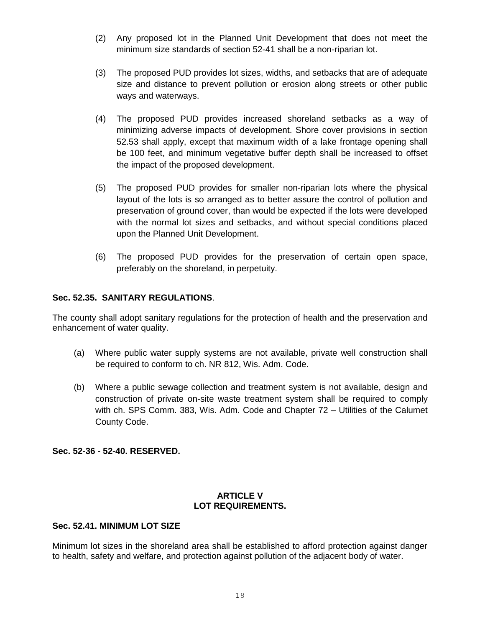- (2) Any proposed lot in the Planned Unit Development that does not meet the minimum size standards of section 52-41 shall be a non-riparian lot.
- (3) The proposed PUD provides lot sizes, widths, and setbacks that are of adequate size and distance to prevent pollution or erosion along streets or other public ways and waterways.
- (4) The proposed PUD provides increased shoreland setbacks as a way of minimizing adverse impacts of development. Shore cover provisions in section 52.53 shall apply, except that maximum width of a lake frontage opening shall be 100 feet, and minimum vegetative buffer depth shall be increased to offset the impact of the proposed development.
- (5) The proposed PUD provides for smaller non-riparian lots where the physical layout of the lots is so arranged as to better assure the control of pollution and preservation of ground cover, than would be expected if the lots were developed with the normal lot sizes and setbacks, and without special conditions placed upon the Planned Unit Development.
- (6) The proposed PUD provides for the preservation of certain open space, preferably on the shoreland, in perpetuity.

## **Sec. 52.35. SANITARY REGULATIONS**.

The county shall adopt sanitary regulations for the protection of health and the preservation and enhancement of water quality.

- (a) Where public water supply systems are not available, private well construction shall be required to conform to ch. NR 812, Wis. Adm. Code.
- (b) Where a public sewage collection and treatment system is not available, design and construction of private on-site waste treatment system shall be required to comply with ch. SPS Comm. 383, Wis. Adm. Code and Chapter 72 – Utilities of the Calumet County Code.

**Sec. 52-36 - 52-40. RESERVED.**

### **ARTICLE V LOT REQUIREMENTS.**

### **Sec. 52.41. MINIMUM LOT SIZE**

Minimum lot sizes in the shoreland area shall be established to afford protection against danger to health, safety and welfare, and protection against pollution of the adjacent body of water.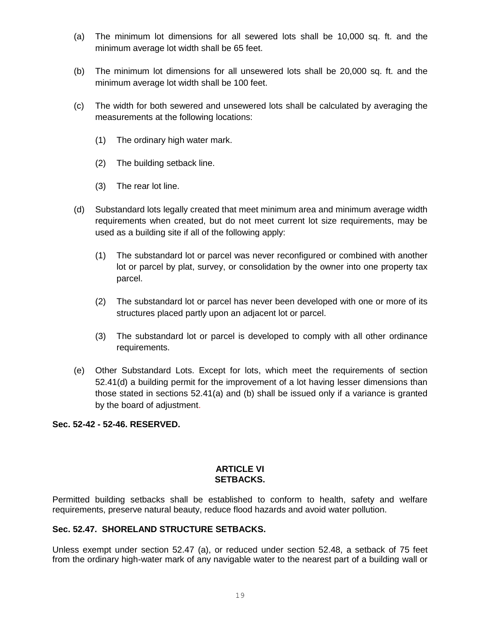- (a) The minimum lot dimensions for all sewered lots shall be 10,000 sq. ft. and the minimum average lot width shall be 65 feet.
- (b) The minimum lot dimensions for all unsewered lots shall be 20,000 sq. ft. and the minimum average lot width shall be 100 feet.
- (c) The width for both sewered and unsewered lots shall be calculated by averaging the measurements at the following locations:
	- (1) The ordinary high water mark.
	- (2) The building setback line.
	- (3) The rear lot line.
- (d) Substandard lots legally created that meet minimum area and minimum average width requirements when created, but do not meet current lot size requirements, may be used as a building site if all of the following apply:
	- (1) The substandard lot or parcel was never reconfigured or combined with another lot or parcel by plat, survey, or consolidation by the owner into one property tax parcel.
	- (2) The substandard lot or parcel has never been developed with one or more of its structures placed partly upon an adjacent lot or parcel.
	- (3) The substandard lot or parcel is developed to comply with all other ordinance requirements.
- (e) Other Substandard Lots. Except for lots, which meet the requirements of section 52.41(d) a building permit for the improvement of a lot having lesser dimensions than those stated in sections 52.41(a) and (b) shall be issued only if a variance is granted by the board of adjustment.

### **Sec. 52-42 - 52-46. RESERVED.**

#### **ARTICLE VI SETBACKS.**

Permitted building setbacks shall be established to conform to health, safety and welfare requirements, preserve natural beauty, reduce flood hazards and avoid water pollution.

### **Sec. 52.47. SHORELAND STRUCTURE SETBACKS.**

Unless exempt under section 52.47 (a), or reduced under section 52.48, a setback of 75 feet from the ordinary high-water mark of any navigable water to the nearest part of a building wall or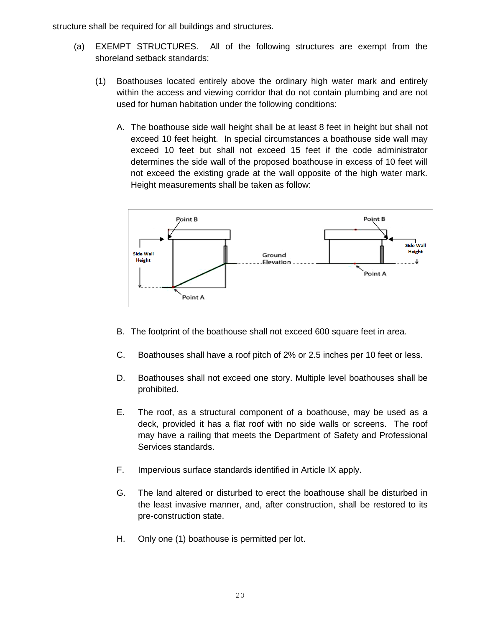structure shall be required for all buildings and structures.

- (a) EXEMPT STRUCTURES. All of the following structures are exempt from the shoreland setback standards:
	- (1) Boathouses located entirely above the ordinary high water mark and entirely within the access and viewing corridor that do not contain plumbing and are not used for human habitation under the following conditions:
		- A. The boathouse side wall height shall be at least 8 feet in height but shall not exceed 10 feet height. In special circumstances a boathouse side wall may exceed 10 feet but shall not exceed 15 feet if the code administrator determines the side wall of the proposed boathouse in excess of 10 feet will not exceed the existing grade at the wall opposite of the high water mark. Height measurements shall be taken as follow:



- B. The footprint of the boathouse shall not exceed 600 square feet in area.
- C. Boathouses shall have a roof pitch of 2% or 2.5 inches per 10 feet or less.
- D. Boathouses shall not exceed one story. Multiple level boathouses shall be prohibited.
- E. The roof, as a structural component of a boathouse, may be used as a deck, provided it has a flat roof with no side walls or screens. The roof may have a railing that meets the Department of Safety and Professional Services standards.
- F. Impervious surface standards identified in Article IX apply.
- G. The land altered or disturbed to erect the boathouse shall be disturbed in the least invasive manner, and, after construction, shall be restored to its pre-construction state.
- H. Only one (1) boathouse is permitted per lot.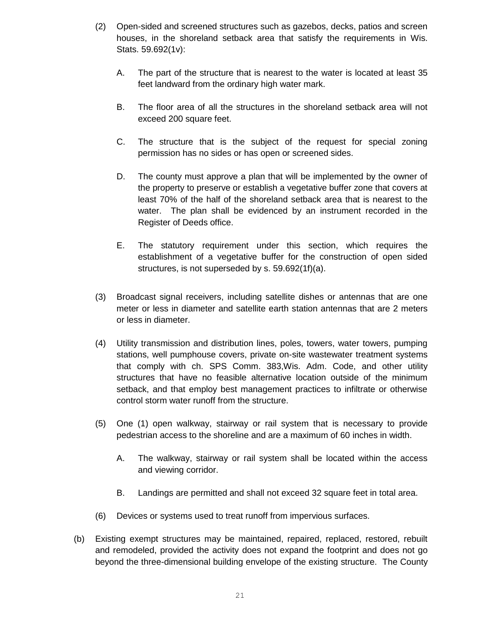- (2) Open-sided and screened structures such as gazebos, decks, patios and screen houses, in the shoreland setback area that satisfy the requirements in Wis. Stats. 59.692(1v):
	- A. The part of the structure that is nearest to the water is located at least 35 feet landward from the ordinary high water mark.
	- B. The floor area of all the structures in the shoreland setback area will not exceed 200 square feet.
	- C. The structure that is the subject of the request for special zoning permission has no sides or has open or screened sides.
	- D. The county must approve a plan that will be implemented by the owner of the property to preserve or establish a vegetative buffer zone that covers at least 70% of the half of the shoreland setback area that is nearest to the water. The plan shall be evidenced by an instrument recorded in the Register of Deeds office.
	- E. The statutory requirement under this section, which requires the establishment of a vegetative buffer for the construction of open sided structures, is not superseded by s. 59.692(1f)(a).
- (3) Broadcast signal receivers, including satellite dishes or antennas that are one meter or less in diameter and satellite earth station antennas that are 2 meters or less in diameter.
- (4) Utility transmission and distribution lines, poles, towers, water towers, pumping stations, well pumphouse covers, private on-site wastewater treatment systems that comply with ch. SPS Comm. 383,Wis. Adm. Code, and other utility structures that have no feasible alternative location outside of the minimum setback, and that employ best management practices to infiltrate or otherwise control storm water runoff from the structure.
- (5) One (1) open walkway, stairway or rail system that is necessary to provide pedestrian access to the shoreline and are a maximum of 60 inches in width.
	- A. The walkway, stairway or rail system shall be located within the access and viewing corridor.
	- B. Landings are permitted and shall not exceed 32 square feet in total area.
- (6) Devices or systems used to treat runoff from impervious surfaces.
- (b) Existing exempt structures may be maintained, repaired, replaced, restored, rebuilt and remodeled, provided the activity does not expand the footprint and does not go beyond the three-dimensional building envelope of the existing structure. The County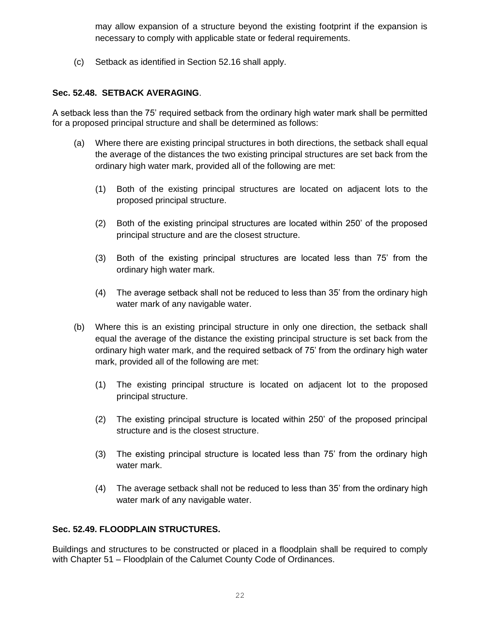may allow expansion of a structure beyond the existing footprint if the expansion is necessary to comply with applicable state or federal requirements.

(c) Setback as identified in Section 52.16 shall apply.

# **Sec. 52.48. SETBACK AVERAGING**.

A setback less than the 75' required setback from the ordinary high water mark shall be permitted for a proposed principal structure and shall be determined as follows:

- (a) Where there are existing principal structures in both directions, the setback shall equal the average of the distances the two existing principal structures are set back from the ordinary high water mark, provided all of the following are met:
	- (1) Both of the existing principal structures are located on adjacent lots to the proposed principal structure.
	- (2) Both of the existing principal structures are located within 250' of the proposed principal structure and are the closest structure.
	- (3) Both of the existing principal structures are located less than 75' from the ordinary high water mark.
	- (4) The average setback shall not be reduced to less than 35' from the ordinary high water mark of any navigable water.
- (b) Where this is an existing principal structure in only one direction, the setback shall equal the average of the distance the existing principal structure is set back from the ordinary high water mark, and the required setback of 75' from the ordinary high water mark, provided all of the following are met:
	- (1) The existing principal structure is located on adjacent lot to the proposed principal structure.
	- (2) The existing principal structure is located within 250' of the proposed principal structure and is the closest structure.
	- (3) The existing principal structure is located less than 75' from the ordinary high water mark.
	- (4) The average setback shall not be reduced to less than 35' from the ordinary high water mark of any navigable water.

### **Sec. 52.49. FLOODPLAIN STRUCTURES.**

Buildings and structures to be constructed or placed in a floodplain shall be required to comply with Chapter 51 – Floodplain of the Calumet County Code of Ordinances.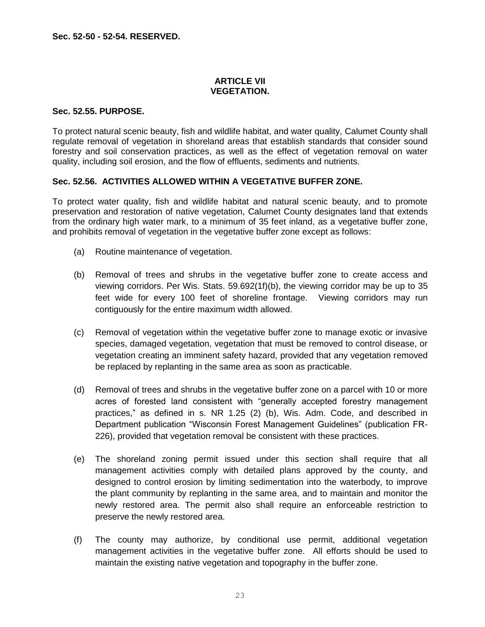### **ARTICLE VII VEGETATION.**

### **Sec. 52.55. PURPOSE.**

To protect natural scenic beauty, fish and wildlife habitat, and water quality, Calumet County shall regulate removal of vegetation in shoreland areas that establish standards that consider sound forestry and soil conservation practices, as well as the effect of vegetation removal on water quality, including soil erosion, and the flow of effluents, sediments and nutrients.

### **Sec. 52.56. ACTIVITIES ALLOWED WITHIN A VEGETATIVE BUFFER ZONE.**

To protect water quality, fish and wildlife habitat and natural scenic beauty, and to promote preservation and restoration of native vegetation, Calumet County designates land that extends from the ordinary high water mark, to a minimum of 35 feet inland, as a vegetative buffer zone, and prohibits removal of vegetation in the vegetative buffer zone except as follows:

- (a) Routine maintenance of vegetation.
- (b) Removal of trees and shrubs in the vegetative buffer zone to create access and viewing corridors. Per Wis. Stats. 59.692(1f)(b), the viewing corridor may be up to 35 feet wide for every 100 feet of shoreline frontage. Viewing corridors may run contiguously for the entire maximum width allowed.
- (c) Removal of vegetation within the vegetative buffer zone to manage exotic or invasive species, damaged vegetation, vegetation that must be removed to control disease, or vegetation creating an imminent safety hazard, provided that any vegetation removed be replaced by replanting in the same area as soon as practicable.
- (d) Removal of trees and shrubs in the vegetative buffer zone on a parcel with 10 or more acres of forested land consistent with "generally accepted forestry management practices," as defined in s. NR 1.25 (2) (b), Wis. Adm. Code, and described in Department publication "Wisconsin Forest Management Guidelines" (publication FR-226), provided that vegetation removal be consistent with these practices.
- (e) The shoreland zoning permit issued under this section shall require that all management activities comply with detailed plans approved by the county, and designed to control erosion by limiting sedimentation into the waterbody, to improve the plant community by replanting in the same area, and to maintain and monitor the newly restored area. The permit also shall require an enforceable restriction to preserve the newly restored area.
- (f) The county may authorize, by conditional use permit, additional vegetation management activities in the vegetative buffer zone. All efforts should be used to maintain the existing native vegetation and topography in the buffer zone.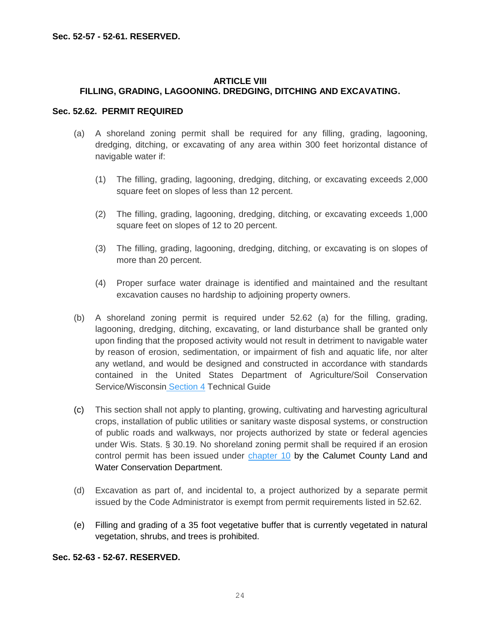### **ARTICLE VIII FILLING, GRADING, LAGOONING. DREDGING, DITCHING AND EXCAVATING.**

### **Sec. 52.62. PERMIT REQUIRED**

- (a) A shoreland zoning permit shall be required for any filling, grading, lagooning, dredging, ditching, or excavating of any area within 300 feet horizontal distance of navigable water if:
	- (1) The filling, grading, lagooning, dredging, ditching, or excavating exceeds 2,000 square feet on slopes of less than 12 percent.
	- (2) The filling, grading, lagooning, dredging, ditching, or excavating exceeds 1,000 square feet on slopes of 12 to 20 percent.
	- (3) The filling, grading, lagooning, dredging, ditching, or excavating is on slopes of more than 20 percent.
	- (4) Proper surface water drainage is identified and maintained and the resultant excavation causes no hardship to adjoining property owners.
- (b) A shoreland zoning permit is required under 52.62 (a) for the filling, grading, lagooning, dredging, ditching, excavating, or land disturbance shall be granted only upon finding that the proposed activity would not result in detriment to navigable water by reason of erosion, sedimentation, or impairment of fish and aquatic life, nor alter any wetland, and would be designed and constructed in accordance with standards contained in the United States Department of Agriculture/Soil Conservation Service/Wisconsin Section 4 Technical Guide
- (c) This section shall not apply to planting, growing, cultivating and harvesting agricultural crops, installation of public utilities or sanitary waste disposal systems, or construction of public roads and walkways, nor projects authorized by state or federal agencies under Wis. Stats. § 30.19. No shoreland zoning permit shall be required if an erosion control permit has been issued under chapter 10 by the Calumet County Land and Water Conservation Department.
- (d) Excavation as part of, and incidental to, a project authorized by a separate permit issued by the Code Administrator is exempt from permit requirements listed in 52.62.
- (e) Filling and grading of a 35 foot vegetative buffer that is currently vegetated in natural vegetation, shrubs, and trees is prohibited.

## **Sec. 52-63 - 52-67. RESERVED.**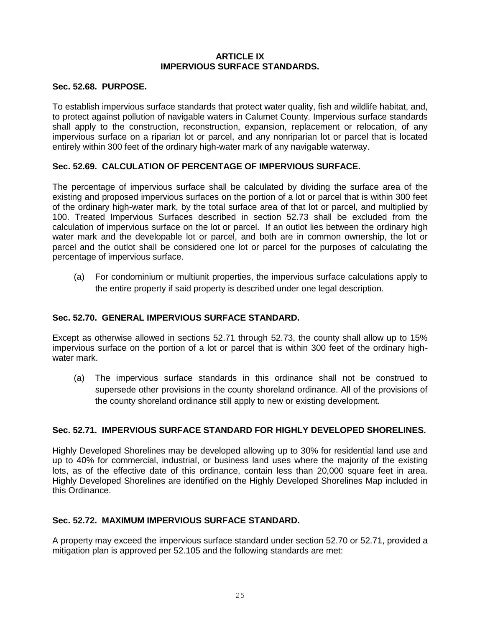### **ARTICLE IX IMPERVIOUS SURFACE STANDARDS.**

### **Sec. 52.68. PURPOSE.**

To establish impervious surface standards that protect water quality, fish and wildlife habitat, and, to protect against pollution of navigable waters in Calumet County. Impervious surface standards shall apply to the construction, reconstruction, expansion, replacement or relocation, of any impervious surface on a riparian lot or parcel, and any nonriparian lot or parcel that is located entirely within 300 feet of the ordinary high-water mark of any navigable waterway.

### **Sec. 52.69. CALCULATION OF PERCENTAGE OF IMPERVIOUS SURFACE.**

The percentage of impervious surface shall be calculated by dividing the surface area of the existing and proposed impervious surfaces on the portion of a lot or parcel that is within 300 feet of the ordinary high-water mark, by the total surface area of that lot or parcel, and multiplied by 100. Treated Impervious Surfaces described in section 52.73 shall be excluded from the calculation of impervious surface on the lot or parcel. If an outlot lies between the ordinary high water mark and the developable lot or parcel, and both are in common ownership, the lot or parcel and the outlot shall be considered one lot or parcel for the purposes of calculating the percentage of impervious surface.

(a) For condominium or multiunit properties, the impervious surface calculations apply to the entire property if said property is described under one legal description.

### **Sec. 52.70. GENERAL IMPERVIOUS SURFACE STANDARD.**

Except as otherwise allowed in sections 52.71 through 52.73, the county shall allow up to 15% impervious surface on the portion of a lot or parcel that is within 300 feet of the ordinary highwater mark.

(a) The impervious surface standards in this ordinance shall not be construed to supersede other provisions in the county shoreland ordinance. All of the provisions of the county shoreland ordinance still apply to new or existing development.

### **Sec. 52.71. IMPERVIOUS SURFACE STANDARD FOR HIGHLY DEVELOPED SHORELINES.**

Highly Developed Shorelines may be developed allowing up to 30% for residential land use and up to 40% for commercial, industrial, or business land uses where the majority of the existing lots, as of the effective date of this ordinance, contain less than 20,000 square feet in area. Highly Developed Shorelines are identified on the Highly Developed Shorelines Map included in this Ordinance.

### **Sec. 52.72. MAXIMUM IMPERVIOUS SURFACE STANDARD.**

A property may exceed the impervious surface standard under section 52.70 or 52.71, provided a mitigation plan is approved per 52.105 and the following standards are met: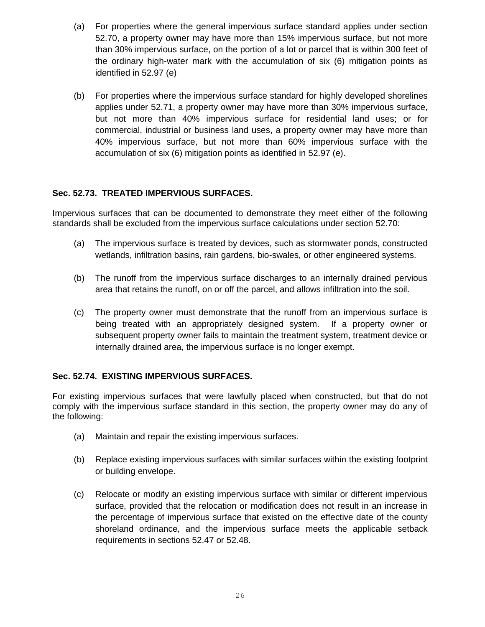- (a) For properties where the general impervious surface standard applies under section 52.70, a property owner may have more than 15% impervious surface, but not more than 30% impervious surface, on the portion of a lot or parcel that is within 300 feet of the ordinary high-water mark with the accumulation of six (6) mitigation points as identified in 52.97 (e)
- (b) For properties where the impervious surface standard for highly developed shorelines applies under 52.71, a property owner may have more than 30% impervious surface, but not more than 40% impervious surface for residential land uses; or for commercial, industrial or business land uses, a property owner may have more than 40% impervious surface, but not more than 60% impervious surface with the accumulation of six (6) mitigation points as identified in 52.97 (e).

# **Sec. 52.73. TREATED IMPERVIOUS SURFACES.**

Impervious surfaces that can be documented to demonstrate they meet either of the following standards shall be excluded from the impervious surface calculations under section 52.70:

- (a) The impervious surface is treated by devices, such as stormwater ponds, constructed wetlands, infiltration basins, rain gardens, bio-swales, or other engineered systems.
- (b) The runoff from the impervious surface discharges to an internally drained pervious area that retains the runoff, on or off the parcel, and allows infiltration into the soil.
- (c) The property owner must demonstrate that the runoff from an impervious surface is being treated with an appropriately designed system. If a property owner or subsequent property owner fails to maintain the treatment system, treatment device or internally drained area, the impervious surface is no longer exempt.

# **Sec. 52.74. EXISTING IMPERVIOUS SURFACES.**

For existing impervious surfaces that were lawfully placed when constructed, but that do not comply with the impervious surface standard in this section, the property owner may do any of the following:

- (a) Maintain and repair the existing impervious surfaces.
- (b) Replace existing impervious surfaces with similar surfaces within the existing footprint or building envelope.
- (c) Relocate or modify an existing impervious surface with similar or different impervious surface, provided that the relocation or modification does not result in an increase in the percentage of impervious surface that existed on the effective date of the county shoreland ordinance, and the impervious surface meets the applicable setback requirements in sections 52.47 or 52.48.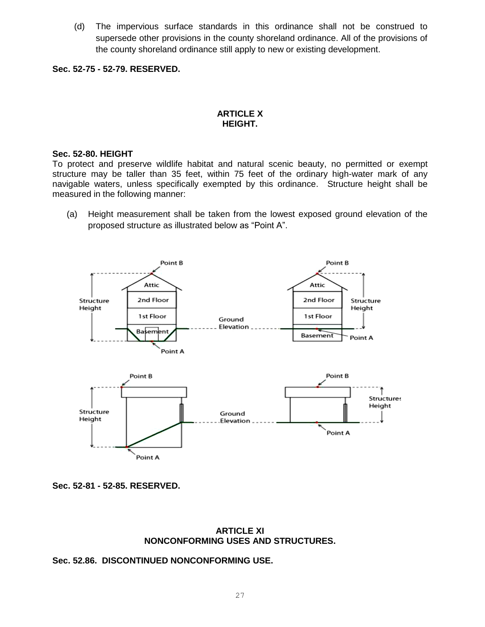(d) The impervious surface standards in this ordinance shall not be construed to supersede other provisions in the county shoreland ordinance. All of the provisions of the county shoreland ordinance still apply to new or existing development.

**Sec. 52-75 - 52-79. RESERVED.**

### **ARTICLE X HEIGHT.**

#### **Sec. 52-80. HEIGHT**

To protect and preserve wildlife habitat and natural scenic beauty, no permitted or exempt structure may be taller than 35 feet, within 75 feet of the ordinary high-water mark of any navigable waters, unless specifically exempted by this ordinance. Structure height shall be measured in the following manner:

(a) Height measurement shall be taken from the lowest exposed ground elevation of the proposed structure as illustrated below as "Point A".



**Sec. 52-81 - 52-85. RESERVED.**

#### **ARTICLE XI NONCONFORMING USES AND STRUCTURES.**

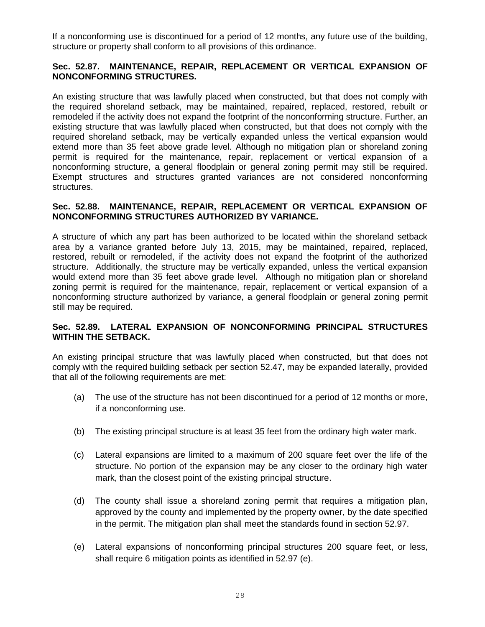If a nonconforming use is discontinued for a period of 12 months, any future use of the building, structure or property shall conform to all provisions of this ordinance.

### **Sec. 52.87. MAINTENANCE, REPAIR, REPLACEMENT OR VERTICAL EXPANSION OF NONCONFORMING STRUCTURES.**

An existing structure that was lawfully placed when constructed, but that does not comply with the required shoreland setback, may be maintained, repaired, replaced, restored, rebuilt or remodeled if the activity does not expand the footprint of the nonconforming structure. Further, an existing structure that was lawfully placed when constructed, but that does not comply with the required shoreland setback, may be vertically expanded unless the vertical expansion would extend more than 35 feet above grade level. Although no mitigation plan or shoreland zoning permit is required for the maintenance, repair, replacement or vertical expansion of a nonconforming structure, a general floodplain or general zoning permit may still be required. Exempt structures and structures granted variances are not considered nonconforming structures.

### **Sec. 52.88. MAINTENANCE, REPAIR, REPLACEMENT OR VERTICAL EXPANSION OF NONCONFORMING STRUCTURES AUTHORIZED BY VARIANCE.**

A structure of which any part has been authorized to be located within the shoreland setback area by a variance granted before July 13, 2015, may be maintained, repaired, replaced, restored, rebuilt or remodeled, if the activity does not expand the footprint of the authorized structure. Additionally, the structure may be vertically expanded, unless the vertical expansion would extend more than 35 feet above grade level. Although no mitigation plan or shoreland zoning permit is required for the maintenance, repair, replacement or vertical expansion of a nonconforming structure authorized by variance, a general floodplain or general zoning permit still may be required.

### **Sec. 52.89. LATERAL EXPANSION OF NONCONFORMING PRINCIPAL STRUCTURES WITHIN THE SETBACK.**

An existing principal structure that was lawfully placed when constructed, but that does not comply with the required building setback per section 52.47, may be expanded laterally, provided that all of the following requirements are met:

- (a) The use of the structure has not been discontinued for a period of 12 months or more, if a nonconforming use.
- (b) The existing principal structure is at least 35 feet from the ordinary high water mark.
- (c) Lateral expansions are limited to a maximum of 200 square feet over the life of the structure. No portion of the expansion may be any closer to the ordinary high water mark, than the closest point of the existing principal structure.
- (d) The county shall issue a shoreland zoning permit that requires a mitigation plan, approved by the county and implemented by the property owner, by the date specified in the permit. The mitigation plan shall meet the standards found in section 52.97.
- (e) Lateral expansions of nonconforming principal structures 200 square feet, or less, shall require 6 mitigation points as identified in 52.97 (e).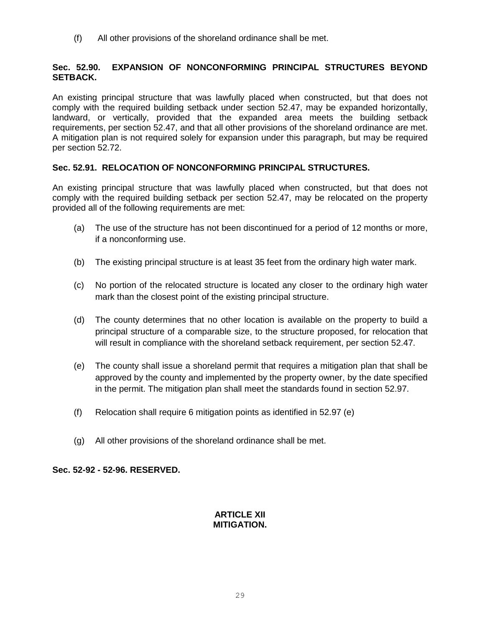(f) All other provisions of the shoreland ordinance shall be met.

## **Sec. 52.90. EXPANSION OF NONCONFORMING PRINCIPAL STRUCTURES BEYOND SETBACK.**

An existing principal structure that was lawfully placed when constructed, but that does not comply with the required building setback under section 52.47, may be expanded horizontally, landward, or vertically, provided that the expanded area meets the building setback requirements, per section 52.47, and that all other provisions of the shoreland ordinance are met. A mitigation plan is not required solely for expansion under this paragraph, but may be required per section 52.72.

## **Sec. 52.91. RELOCATION OF NONCONFORMING PRINCIPAL STRUCTURES.**

An existing principal structure that was lawfully placed when constructed, but that does not comply with the required building setback per section 52.47, may be relocated on the property provided all of the following requirements are met:

- (a) The use of the structure has not been discontinued for a period of 12 months or more, if a nonconforming use.
- (b) The existing principal structure is at least 35 feet from the ordinary high water mark.
- (c) No portion of the relocated structure is located any closer to the ordinary high water mark than the closest point of the existing principal structure.
- (d) The county determines that no other location is available on the property to build a principal structure of a comparable size, to the structure proposed, for relocation that will result in compliance with the shoreland setback requirement, per section 52.47.
- (e) The county shall issue a shoreland permit that requires a mitigation plan that shall be approved by the county and implemented by the property owner, by the date specified in the permit. The mitigation plan shall meet the standards found in section 52.97.
- (f) Relocation shall require 6 mitigation points as identified in 52.97 (e)
- (g) All other provisions of the shoreland ordinance shall be met.

### **Sec. 52-92 - 52-96. RESERVED.**

## **ARTICLE XII MITIGATION.**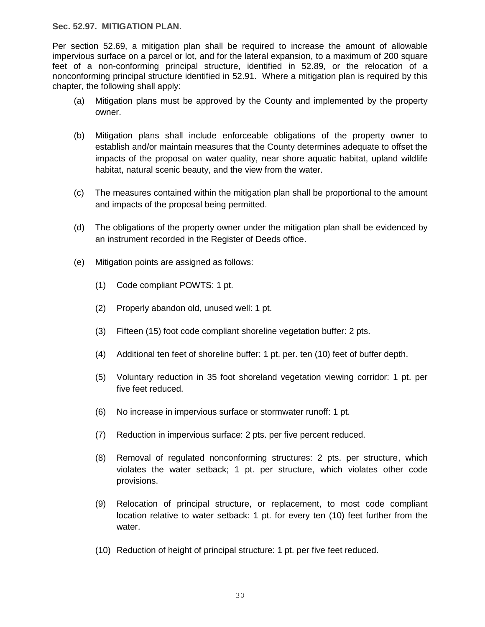**Sec. 52.97. MITIGATION PLAN.**

Per section 52.69, a mitigation plan shall be required to increase the amount of allowable impervious surface on a parcel or lot, and for the lateral expansion, to a maximum of 200 square feet of a non-conforming principal structure, identified in 52.89, or the relocation of a nonconforming principal structure identified in 52.91. Where a mitigation plan is required by this chapter, the following shall apply:

- (a) Mitigation plans must be approved by the County and implemented by the property owner.
- (b) Mitigation plans shall include enforceable obligations of the property owner to establish and/or maintain measures that the County determines adequate to offset the impacts of the proposal on water quality, near shore aquatic habitat, upland wildlife habitat, natural scenic beauty, and the view from the water.
- (c) The measures contained within the mitigation plan shall be proportional to the amount and impacts of the proposal being permitted.
- (d) The obligations of the property owner under the mitigation plan shall be evidenced by an instrument recorded in the Register of Deeds office.
- (e) Mitigation points are assigned as follows:
	- (1) Code compliant POWTS: 1 pt.
	- (2) Properly abandon old, unused well: 1 pt.
	- (3) Fifteen (15) foot code compliant shoreline vegetation buffer: 2 pts.
	- (4) Additional ten feet of shoreline buffer: 1 pt. per. ten (10) feet of buffer depth.
	- (5) Voluntary reduction in 35 foot shoreland vegetation viewing corridor: 1 pt. per five feet reduced.
	- (6) No increase in impervious surface or stormwater runoff: 1 pt.
	- (7) Reduction in impervious surface: 2 pts. per five percent reduced.
	- (8) Removal of regulated nonconforming structures: 2 pts. per structure, which violates the water setback; 1 pt. per structure, which violates other code provisions.
	- (9) Relocation of principal structure, or replacement, to most code compliant location relative to water setback: 1 pt. for every ten (10) feet further from the water.
	- (10) Reduction of height of principal structure: 1 pt. per five feet reduced.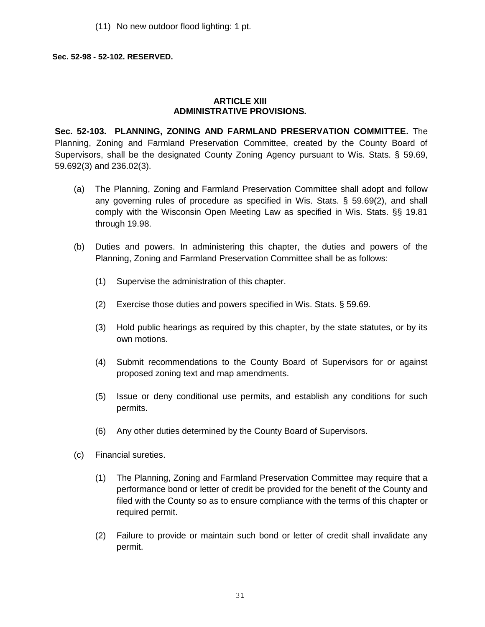(11) No new outdoor flood lighting: 1 pt.

#### **Sec. 52-98 - 52-102. RESERVED.**

### **ARTICLE XIII ADMINISTRATIVE PROVISIONS.**

**Sec. 52-103. PLANNING, ZONING AND FARMLAND PRESERVATION COMMITTEE.** The Planning, Zoning and Farmland Preservation Committee, created by the County Board of Supervisors, shall be the designated County Zoning Agency pursuant to Wis. Stats. § 59.69, 59.692(3) and 236.02(3).

- (a) The Planning, Zoning and Farmland Preservation Committee shall adopt and follow any governing rules of procedure as specified in Wis. Stats. § 59.69(2), and shall comply with the Wisconsin Open Meeting Law as specified in Wis. Stats. §§ 19.81 through 19.98.
- (b) Duties and powers. In administering this chapter, the duties and powers of the Planning, Zoning and Farmland Preservation Committee shall be as follows:
	- (1) Supervise the administration of this chapter.
	- (2) Exercise those duties and powers specified in Wis. Stats. § 59.69.
	- (3) Hold public hearings as required by this chapter, by the state statutes, or by its own motions.
	- (4) Submit recommendations to the County Board of Supervisors for or against proposed zoning text and map amendments.
	- (5) Issue or deny conditional use permits, and establish any conditions for such permits.
	- (6) Any other duties determined by the County Board of Supervisors.
- (c) Financial sureties.
	- (1) The Planning, Zoning and Farmland Preservation Committee may require that a performance bond or letter of credit be provided for the benefit of the County and filed with the County so as to ensure compliance with the terms of this chapter or required permit.
	- (2) Failure to provide or maintain such bond or letter of credit shall invalidate any permit.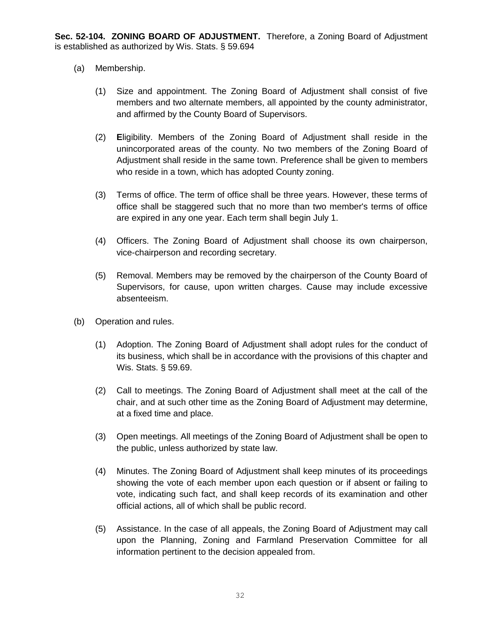- (a) Membership.
	- (1) Size and appointment. The Zoning Board of Adjustment shall consist of five members and two alternate members, all appointed by the county administrator, and affirmed by the County Board of Supervisors.
	- (2) **E**ligibility. Members of the Zoning Board of Adjustment shall reside in the unincorporated areas of the county. No two members of the Zoning Board of Adjustment shall reside in the same town. Preference shall be given to members who reside in a town, which has adopted County zoning.
	- (3) Terms of office. The term of office shall be three years. However, these terms of office shall be staggered such that no more than two member's terms of office are expired in any one year. Each term shall begin July 1.
	- (4) Officers. The Zoning Board of Adjustment shall choose its own chairperson, vice-chairperson and recording secretary.
	- (5) Removal. Members may be removed by the chairperson of the County Board of Supervisors, for cause, upon written charges. Cause may include excessive absenteeism.
- (b) Operation and rules.
	- (1) Adoption. The Zoning Board of Adjustment shall adopt rules for the conduct of its business, which shall be in accordance with the provisions of this chapter and Wis. Stats. § 59.69.
	- (2) Call to meetings. The Zoning Board of Adjustment shall meet at the call of the chair, and at such other time as the Zoning Board of Adjustment may determine, at a fixed time and place.
	- (3) Open meetings. All meetings of the Zoning Board of Adjustment shall be open to the public, unless authorized by state law.
	- (4) Minutes. The Zoning Board of Adjustment shall keep minutes of its proceedings showing the vote of each member upon each question or if absent or failing to vote, indicating such fact, and shall keep records of its examination and other official actions, all of which shall be public record.
	- (5) Assistance. In the case of all appeals, the Zoning Board of Adjustment may call upon the Planning, Zoning and Farmland Preservation Committee for all information pertinent to the decision appealed from.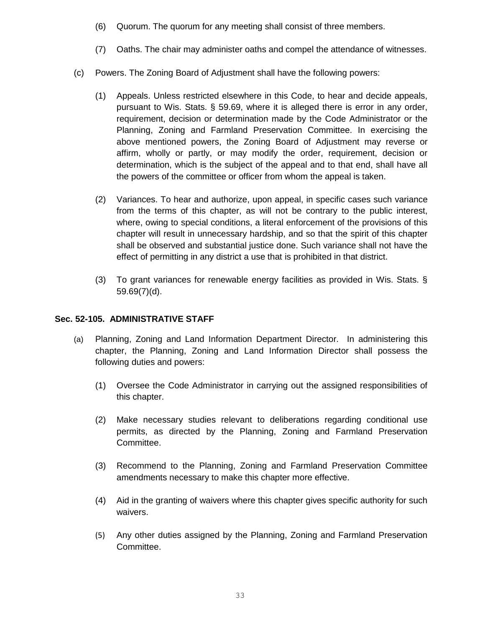- (6) Quorum. The quorum for any meeting shall consist of three members.
- (7) Oaths. The chair may administer oaths and compel the attendance of witnesses.
- (c) Powers. The Zoning Board of Adjustment shall have the following powers:
	- (1) Appeals. Unless restricted elsewhere in this Code, to hear and decide appeals, pursuant to Wis. Stats. § 59.69, where it is alleged there is error in any order, requirement, decision or determination made by the Code Administrator or the Planning, Zoning and Farmland Preservation Committee. In exercising the above mentioned powers, the Zoning Board of Adjustment may reverse or affirm, wholly or partly, or may modify the order, requirement, decision or determination, which is the subject of the appeal and to that end, shall have all the powers of the committee or officer from whom the appeal is taken.
	- (2) Variances. To hear and authorize, upon appeal, in specific cases such variance from the terms of this chapter, as will not be contrary to the public interest, where, owing to special conditions, a literal enforcement of the provisions of this chapter will result in unnecessary hardship, and so that the spirit of this chapter shall be observed and substantial justice done. Such variance shall not have the effect of permitting in any district a use that is prohibited in that district.
	- (3) To grant variances for renewable energy facilities as provided in Wis. Stats. § 59.69(7)(d).

### **Sec. 52-105. ADMINISTRATIVE STAFF**

- (a) Planning, Zoning and Land Information Department Director. In administering this chapter, the Planning, Zoning and Land Information Director shall possess the following duties and powers:
	- (1) Oversee the Code Administrator in carrying out the assigned responsibilities of this chapter.
	- (2) Make necessary studies relevant to deliberations regarding conditional use permits, as directed by the Planning, Zoning and Farmland Preservation Committee.
	- (3) Recommend to the Planning, Zoning and Farmland Preservation Committee amendments necessary to make this chapter more effective.
	- (4) Aid in the granting of waivers where this chapter gives specific authority for such waivers.
	- (5) Any other duties assigned by the Planning, Zoning and Farmland Preservation Committee.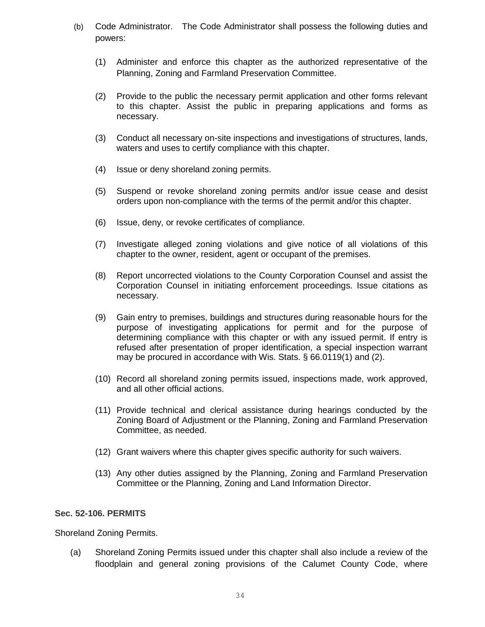- (b) Code Administrator. The Code Administrator shall possess the following duties and powers:
	- (1) Administer and enforce this chapter as the authorized representative of the Planning, Zoning and Farmland Preservation Committee.
	- (2) Provide to the public the necessary permit application and other forms relevant to this chapter. Assist the public in preparing applications and forms as necessary.
	- (3) Conduct all necessary on-site inspections and investigations of structures, lands, waters and uses to certify compliance with this chapter.
	- (4) Issue or deny shoreland zoning permits.
	- (5) Suspend or revoke shoreland zoning permits and/or issue cease and desist orders upon non-compliance with the terms of the permit and/or this chapter.
	- (6) Issue, deny, or revoke certificates of compliance.
	- (7) Investigate alleged zoning violations and give notice of all violations of this chapter to the owner, resident, agent or occupant of the premises.
	- (8) Report uncorrected violations to the County Corporation Counsel and assist the Corporation Counsel in initiating enforcement proceedings. Issue citations as necessary.
	- (9) Gain entry to premises, buildings and structures during reasonable hours for the purpose of investigating applications for permit and for the purpose of determining compliance with this chapter or with any issued permit. If entry is refused after presentation of proper identification, a special inspection warrant may be procured in accordance with Wis. Stats. § 66.0119(1) and (2).
	- (10) Record all shoreland zoning permits issued, inspections made, work approved, and all other official actions.
	- (11) Provide technical and clerical assistance during hearings conducted by the Zoning Board of Adjustment or the Planning, Zoning and Farmland Preservation Committee, as needed.
	- (12) Grant waivers where this chapter gives specific authority for such waivers.
	- (13) Any other duties assigned by the Planning, Zoning and Farmland Preservation Committee or the Planning, Zoning and Land Information Director.

### **Sec. 52-106. PERMITS**

Shoreland Zoning Permits.

(a) Shoreland Zoning Permits issued under this chapter shall also include a review of the floodplain and general zoning provisions of the Calumet County Code, where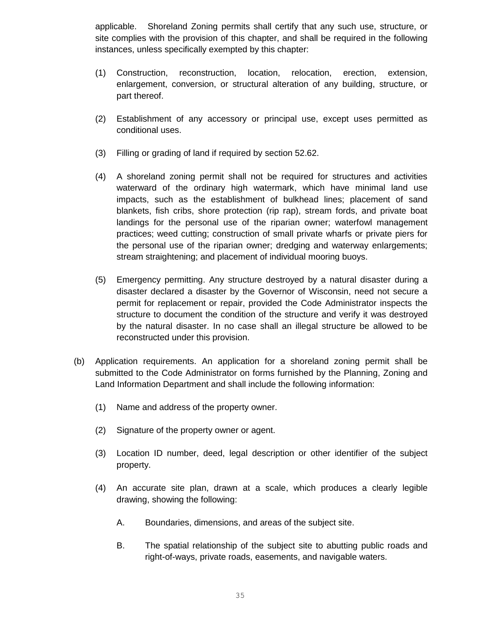applicable. Shoreland Zoning permits shall certify that any such use, structure, or site complies with the provision of this chapter, and shall be required in the following instances, unless specifically exempted by this chapter:

- (1) Construction, reconstruction, location, relocation, erection, extension, enlargement, conversion, or structural alteration of any building, structure, or part thereof.
- (2) Establishment of any accessory or principal use, except uses permitted as conditional uses.
- (3) Filling or grading of land if required by section 52.62.
- (4) A shoreland zoning permit shall not be required for structures and activities waterward of the ordinary high watermark, which have minimal land use impacts, such as the establishment of bulkhead lines; placement of sand blankets, fish cribs, shore protection (rip rap), stream fords, and private boat landings for the personal use of the riparian owner; waterfowl management practices; weed cutting; construction of small private wharfs or private piers for the personal use of the riparian owner; dredging and waterway enlargements; stream straightening; and placement of individual mooring buoys.
- (5) Emergency permitting. Any structure destroyed by a natural disaster during a disaster declared a disaster by the Governor of Wisconsin, need not secure a permit for replacement or repair, provided the Code Administrator inspects the structure to document the condition of the structure and verify it was destroyed by the natural disaster. In no case shall an illegal structure be allowed to be reconstructed under this provision.
- (b) Application requirements. An application for a shoreland zoning permit shall be submitted to the Code Administrator on forms furnished by the Planning, Zoning and Land Information Department and shall include the following information:
	- (1) Name and address of the property owner.
	- (2) Signature of the property owner or agent.
	- (3) Location ID number, deed, legal description or other identifier of the subject property.
	- (4) An accurate site plan, drawn at a scale, which produces a clearly legible drawing, showing the following:
		- A. Boundaries, dimensions, and areas of the subject site.
		- B. The spatial relationship of the subject site to abutting public roads and right-of-ways, private roads, easements, and navigable waters.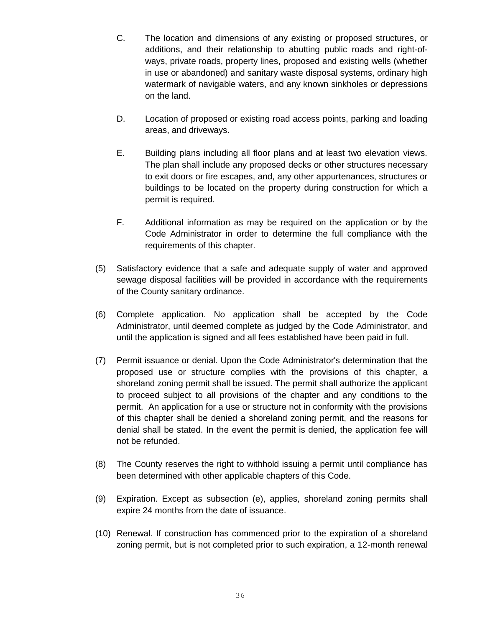- C. The location and dimensions of any existing or proposed structures, or additions, and their relationship to abutting public roads and right-ofways, private roads, property lines, proposed and existing wells (whether in use or abandoned) and sanitary waste disposal systems, ordinary high watermark of navigable waters, and any known sinkholes or depressions on the land.
- D. Location of proposed or existing road access points, parking and loading areas, and driveways.
- E. Building plans including all floor plans and at least two elevation views. The plan shall include any proposed decks or other structures necessary to exit doors or fire escapes, and, any other appurtenances, structures or buildings to be located on the property during construction for which a permit is required.
- F. Additional information as may be required on the application or by the Code Administrator in order to determine the full compliance with the requirements of this chapter.
- (5) Satisfactory evidence that a safe and adequate supply of water and approved sewage disposal facilities will be provided in accordance with the requirements of the County sanitary ordinance.
- (6) Complete application. No application shall be accepted by the Code Administrator, until deemed complete as judged by the Code Administrator, and until the application is signed and all fees established have been paid in full.
- (7) Permit issuance or denial. Upon the Code Administrator's determination that the proposed use or structure complies with the provisions of this chapter, a shoreland zoning permit shall be issued. The permit shall authorize the applicant to proceed subject to all provisions of the chapter and any conditions to the permit. An application for a use or structure not in conformity with the provisions of this chapter shall be denied a shoreland zoning permit, and the reasons for denial shall be stated. In the event the permit is denied, the application fee will not be refunded.
- (8) The County reserves the right to withhold issuing a permit until compliance has been determined with other applicable chapters of this Code.
- (9) Expiration. Except as subsection (e), applies, shoreland zoning permits shall expire 24 months from the date of issuance.
- (10) Renewal. If construction has commenced prior to the expiration of a shoreland zoning permit, but is not completed prior to such expiration, a 12-month renewal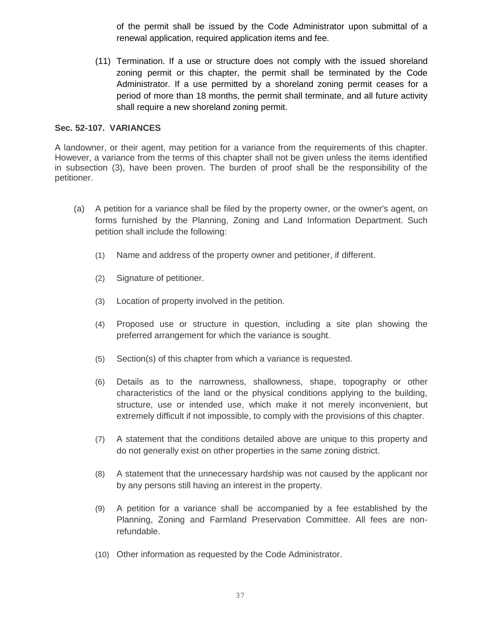of the permit shall be issued by the Code Administrator upon submittal of a renewal application, required application items and fee.

(11) Termination. If a use or structure does not comply with the issued shoreland zoning permit or this chapter, the permit shall be terminated by the Code Administrator. If a use permitted by a shoreland zoning permit ceases for a period of more than 18 months, the permit shall terminate, and all future activity shall require a new shoreland zoning permit.

## **Sec. 52-107. VARIANCES**

A landowner, or their agent, may petition for a variance from the requirements of this chapter. However, a variance from the terms of this chapter shall not be given unless the items identified in subsection (3), have been proven. The burden of proof shall be the responsibility of the petitioner.

- (a) A petition for a variance shall be filed by the property owner, or the owner's agent, on forms furnished by the Planning, Zoning and Land Information Department. Such petition shall include the following:
	- (1) Name and address of the property owner and petitioner, if different.
	- (2) Signature of petitioner.
	- (3) Location of property involved in the petition.
	- (4) Proposed use or structure in question, including a site plan showing the preferred arrangement for which the variance is sought.
	- (5) Section(s) of this chapter from which a variance is requested.
	- (6) Details as to the narrowness, shallowness, shape, topography or other characteristics of the land or the physical conditions applying to the building, structure, use or intended use, which make it not merely inconvenient, but extremely difficult if not impossible, to comply with the provisions of this chapter.
	- (7) A statement that the conditions detailed above are unique to this property and do not generally exist on other properties in the same zoning district.
	- (8) A statement that the unnecessary hardship was not caused by the applicant nor by any persons still having an interest in the property.
	- (9) A petition for a variance shall be accompanied by a fee established by the Planning, Zoning and Farmland Preservation Committee. All fees are nonrefundable.
	- (10) Other information as requested by the Code Administrator.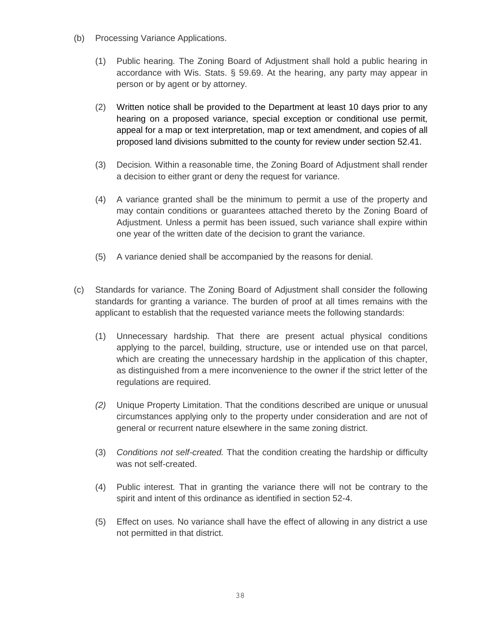- (b) Processing Variance Applications.
	- (1) Public hearing*.* The Zoning Board of Adjustment shall hold a public hearing in accordance with Wis. Stats. § 59.69. At the hearing, any party may appear in person or by agent or by attorney.
	- (2) Written notice shall be provided to the Department at least 10 days prior to any hearing on a proposed variance, special exception or conditional use permit, appeal for a map or text interpretation, map or text amendment, and copies of all proposed land divisions submitted to the county for review under section 52.41.
	- (3) Decision*.* Within a reasonable time, the Zoning Board of Adjustment shall render a decision to either grant or deny the request for variance.
	- (4) A variance granted shall be the minimum to permit a use of the property and may contain conditions or guarantees attached thereto by the Zoning Board of Adjustment. Unless a permit has been issued, such variance shall expire within one year of the written date of the decision to grant the variance.
	- (5) A variance denied shall be accompanied by the reasons for denial.
- (c) Standards for variance. The Zoning Board of Adjustment shall consider the following standards for granting a variance. The burden of proof at all times remains with the applicant to establish that the requested variance meets the following standards:
	- (1) Unnecessary hardship*.* That there are present actual physical conditions applying to the parcel, building, structure, use or intended use on that parcel, which are creating the unnecessary hardship in the application of this chapter, as distinguished from a mere inconvenience to the owner if the strict letter of the regulations are required.
	- *(2)* Unique Property Limitation. That the conditions described are unique or unusual circumstances applying only to the property under consideration and are not of general or recurrent nature elsewhere in the same zoning district.
	- (3) *Conditions not self-created.* That the condition creating the hardship or difficulty was not self-created.
	- (4) Public interest*.* That in granting the variance there will not be contrary to the spirit and intent of this ordinance as identified in section 52-4.
	- (5) Effect on uses*.* No variance shall have the effect of allowing in any district a use not permitted in that district.